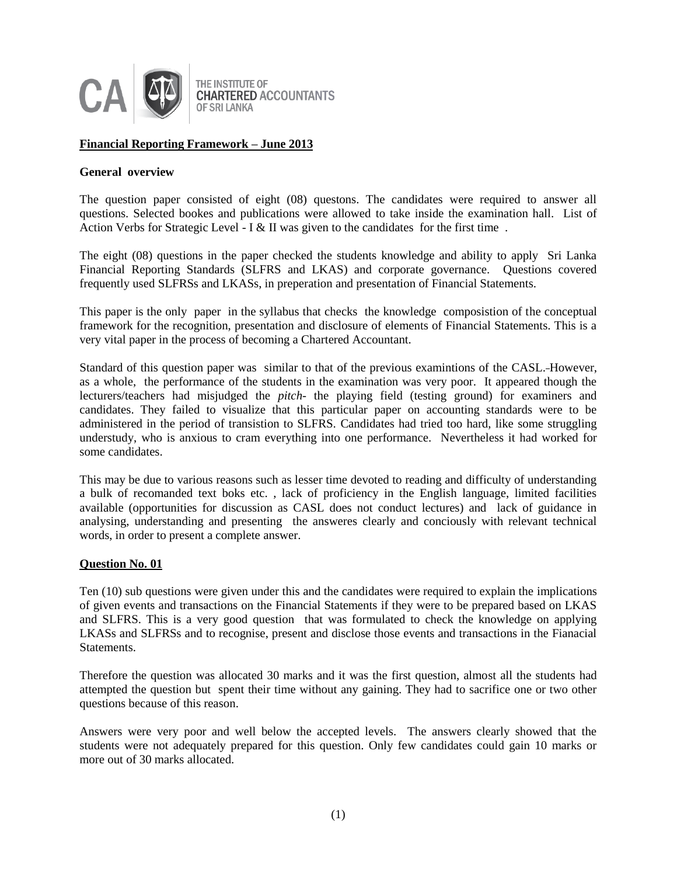

# **Financial Reporting Framework – June 2013**

## **General overview**

The question paper consisted of eight (08) questons. The candidates were required to answer all questions. Selected bookes and publications were allowed to take inside the examination hall. List of Action Verbs for Strategic Level - I & II was given to the candidates for the first time.

The eight (08) questions in the paper checked the students knowledge and ability to apply Sri Lanka Financial Reporting Standards (SLFRS and LKAS) and corporate governance. Questions covered frequently used SLFRSs and LKASs, in preperation and presentation of Financial Statements.

This paper is the only paper in the syllabus that checks the knowledge composistion of the conceptual framework for the recognition, presentation and disclosure of elements of Financial Statements. This is a very vital paper in the process of becoming a Chartered Accountant.

Standard of this question paper was similar to that of the previous examintions of the CASL. However, as a whole, the performance of the students in the examination was very poor. It appeared though the lecturers/teachers had misjudged the *pitch-* the playing field (testing ground) for examiners and candidates. They failed to visualize that this particular paper on accounting standards were to be administered in the period of transistion to SLFRS. Candidates had tried too hard, like some struggling understudy, who is anxious to cram everything into one performance. Nevertheless it had worked for some candidates.

This may be due to various reasons such as lesser time devoted to reading and difficulty of understanding a bulk of recomanded text boks etc. , lack of proficiency in the English language, limited facilities available (opportunities for discussion as CASL does not conduct lectures) and lack of guidance in analysing, understanding and presenting the answeres clearly and conciously with relevant technical words, in order to present a complete answer.

## **Question No. 01**

Ten (10) sub questions were given under this and the candidates were required to explain the implications of given events and transactions on the Financial Statements if they were to be prepared based on LKAS and SLFRS. This is a very good question that was formulated to check the knowledge on applying LKASs and SLFRSs and to recognise, present and disclose those events and transactions in the Fianacial Statements.

Therefore the question was allocated 30 marks and it was the first question, almost all the students had attempted the question but spent their time without any gaining. They had to sacrifice one or two other questions because of this reason.

Answers were very poor and well below the accepted levels. The answers clearly showed that the students were not adequately prepared for this question. Only few candidates could gain 10 marks or more out of 30 marks allocated.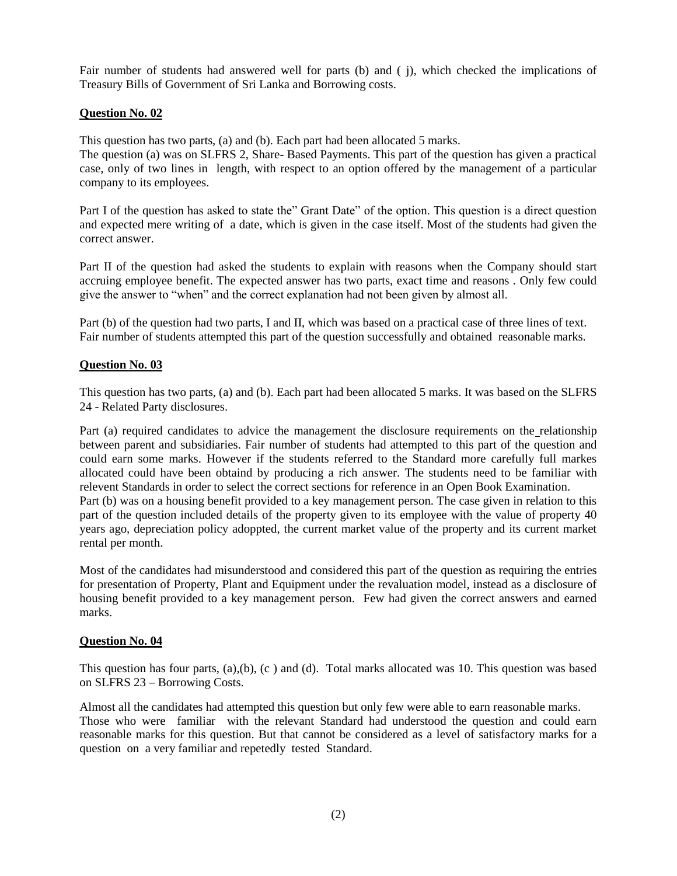Fair number of students had answered well for parts (b) and ( j), which checked the implications of Treasury Bills of Government of Sri Lanka and Borrowing costs.

## **Question No. 02**

This question has two parts, (a) and (b). Each part had been allocated 5 marks.

The question (a) was on SLFRS 2, Share- Based Payments. This part of the question has given a practical case, only of two lines in length, with respect to an option offered by the management of a particular company to its employees.

Part I of the question has asked to state the" Grant Date" of the option. This question is a direct question and expected mere writing of a date, which is given in the case itself. Most of the students had given the correct answer.

Part II of the question had asked the students to explain with reasons when the Company should start accruing employee benefit. The expected answer has two parts, exact time and reasons . Only few could give the answer to "when" and the correct explanation had not been given by almost all.

Part (b) of the question had two parts, I and II, which was based on a practical case of three lines of text. Fair number of students attempted this part of the question successfully and obtained reasonable marks.

# **Question No. 03**

This question has two parts, (a) and (b). Each part had been allocated 5 marks. It was based on the SLFRS 24 - Related Party disclosures.

Part (a) required candidates to advice the management the disclosure requirements on the relationship between parent and subsidiaries. Fair number of students had attempted to this part of the question and could earn some marks. However if the students referred to the Standard more carefully full markes allocated could have been obtaind by producing a rich answer. The students need to be familiar with relevent Standards in order to select the correct sections for reference in an Open Book Examination. Part (b) was on a housing benefit provided to a key management person. The case given in relation to this part of the question included details of the property given to its employee with the value of property 40 years ago, depreciation policy adoppted, the current market value of the property and its current market rental per month.

Most of the candidates had misunderstood and considered this part of the question as requiring the entries for presentation of Property, Plant and Equipment under the revaluation model, instead as a disclosure of housing benefit provided to a key management person. Few had given the correct answers and earned marks.

## **Question No. 04**

This question has four parts,  $(a),(b), (c)$  and  $(d)$ . Total marks allocated was 10. This question was based on SLFRS 23 – Borrowing Costs.

Almost all the candidates had attempted this question but only few were able to earn reasonable marks. Those who were familiar with the relevant Standard had understood the question and could earn reasonable marks for this question. But that cannot be considered as a level of satisfactory marks for a question on a very familiar and repetedly tested Standard.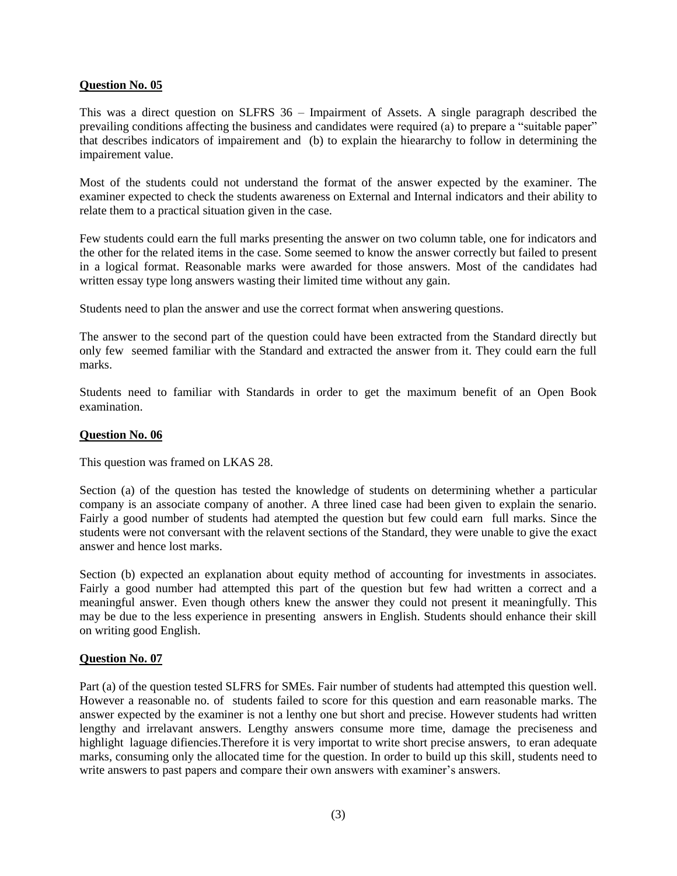## **Question No. 05**

This was a direct question on SLFRS 36 – Impairment of Assets. A single paragraph described the prevailing conditions affecting the business and candidates were required (a) to prepare a "suitable paper" that describes indicators of impairement and (b) to explain the hieararchy to follow in determining the impairement value.

Most of the students could not understand the format of the answer expected by the examiner. The examiner expected to check the students awareness on External and Internal indicators and their ability to relate them to a practical situation given in the case.

Few students could earn the full marks presenting the answer on two column table, one for indicators and the other for the related items in the case. Some seemed to know the answer correctly but failed to present in a logical format. Reasonable marks were awarded for those answers. Most of the candidates had written essay type long answers wasting their limited time without any gain.

Students need to plan the answer and use the correct format when answering questions.

The answer to the second part of the question could have been extracted from the Standard directly but only few seemed familiar with the Standard and extracted the answer from it. They could earn the full marks.

Students need to familiar with Standards in order to get the maximum benefit of an Open Book examination.

## **Question No. 06**

This question was framed on LKAS 28.

Section (a) of the question has tested the knowledge of students on determining whether a particular company is an associate company of another. A three lined case had been given to explain the senario. Fairly a good number of students had atempted the question but few could earn full marks. Since the students were not conversant with the relavent sections of the Standard, they were unable to give the exact answer and hence lost marks.

Section (b) expected an explanation about equity method of accounting for investments in associates. Fairly a good number had attempted this part of the question but few had written a correct and a meaningful answer. Even though others knew the answer they could not present it meaningfully. This may be due to the less experience in presenting answers in English. Students should enhance their skill on writing good English.

#### **Question No. 07**

Part (a) of the question tested SLFRS for SMEs. Fair number of students had attempted this question well. However a reasonable no. of students failed to score for this question and earn reasonable marks. The answer expected by the examiner is not a lenthy one but short and precise. However students had written lengthy and irrelavant answers. Lengthy answers consume more time, damage the preciseness and highlight laguage difiencies.Therefore it is very importat to write short precise answers, to eran adequate marks, consuming only the allocated time for the question. In order to build up this skill, students need to write answers to past papers and compare their own answers with examiner's answers.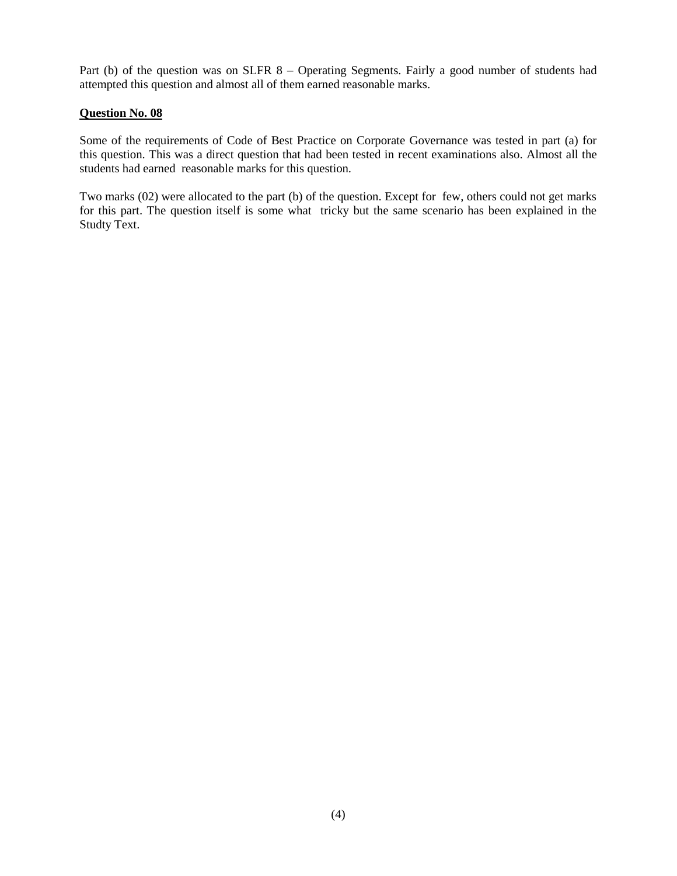Part (b) of the question was on SLFR 8 - Operating Segments. Fairly a good number of students had attempted this question and almost all of them earned reasonable marks.

# **Question No. 08**

Some of the requirements of Code of Best Practice on Corporate Governance was tested in part (a) for this question. This was a direct question that had been tested in recent examinations also. Almost all the students had earned reasonable marks for this question.

Two marks (02) were allocated to the part (b) of the question. Except for few, others could not get marks for this part. The question itself is some what tricky but the same scenario has been explained in the Studty Text.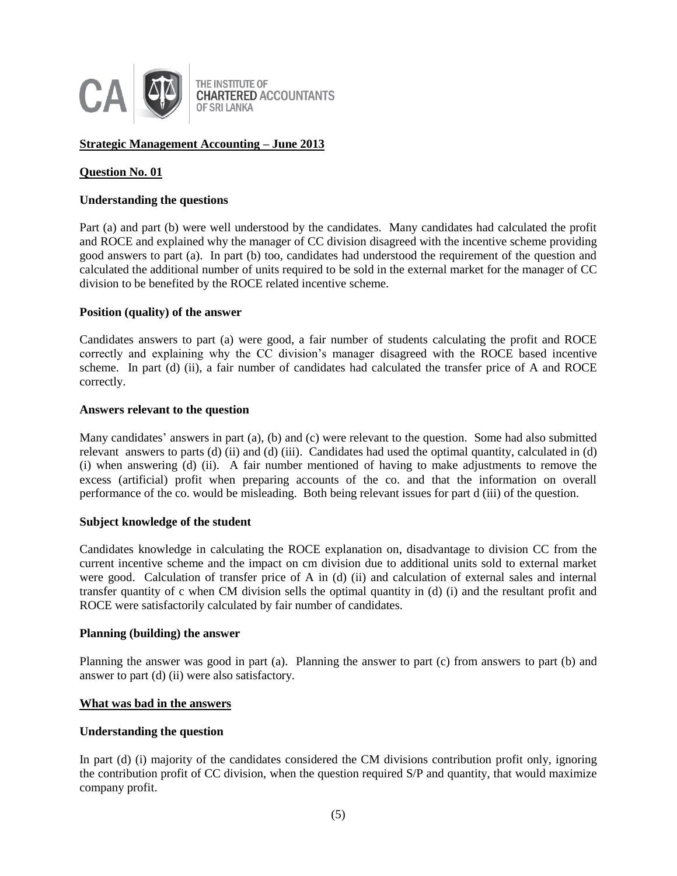

# **Strategic Management Accounting – June 2013**

## **Question No. 01**

### **Understanding the questions**

Part (a) and part (b) were well understood by the candidates. Many candidates had calculated the profit and ROCE and explained why the manager of CC division disagreed with the incentive scheme providing good answers to part (a). In part (b) too, candidates had understood the requirement of the question and calculated the additional number of units required to be sold in the external market for the manager of CC division to be benefited by the ROCE related incentive scheme.

#### **Position (quality) of the answer**

Candidates answers to part (a) were good, a fair number of students calculating the profit and ROCE correctly and explaining why the CC division's manager disagreed with the ROCE based incentive scheme. In part (d) (ii), a fair number of candidates had calculated the transfer price of A and ROCE correctly.

#### **Answers relevant to the question**

Many candidates' answers in part (a), (b) and (c) were relevant to the question. Some had also submitted relevant answers to parts (d) (ii) and (d) (iii). Candidates had used the optimal quantity, calculated in (d) (i) when answering (d) (ii). A fair number mentioned of having to make adjustments to remove the excess (artificial) profit when preparing accounts of the co. and that the information on overall performance of the co. would be misleading. Both being relevant issues for part d (iii) of the question.

### **Subject knowledge of the student**

Candidates knowledge in calculating the ROCE explanation on, disadvantage to division CC from the current incentive scheme and the impact on cm division due to additional units sold to external market were good. Calculation of transfer price of A in (d) (ii) and calculation of external sales and internal transfer quantity of c when CM division sells the optimal quantity in (d) (i) and the resultant profit and ROCE were satisfactorily calculated by fair number of candidates.

#### **Planning (building) the answer**

Planning the answer was good in part (a). Planning the answer to part (c) from answers to part (b) and answer to part (d) (ii) were also satisfactory.

#### **What was bad in the answers**

#### **Understanding the question**

In part (d) (i) majority of the candidates considered the CM divisions contribution profit only, ignoring the contribution profit of CC division, when the question required S/P and quantity, that would maximize company profit.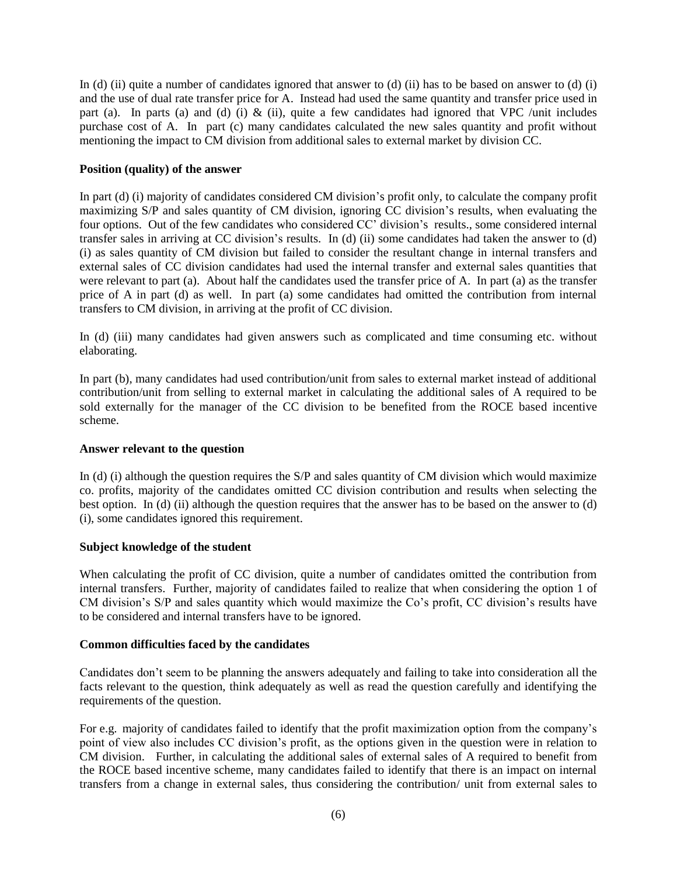In (d) (ii) quite a number of candidates ignored that answer to (d) (ii) has to be based on answer to (d) (i) and the use of dual rate transfer price for A. Instead had used the same quantity and transfer price used in part (a). In parts (a) and (d) (i)  $\&$  (ii), quite a few candidates had ignored that VPC /unit includes purchase cost of A. In part (c) many candidates calculated the new sales quantity and profit without mentioning the impact to CM division from additional sales to external market by division CC.

# **Position (quality) of the answer**

In part (d) (i) majority of candidates considered CM division's profit only, to calculate the company profit maximizing S/P and sales quantity of CM division, ignoring CC division's results, when evaluating the four options. Out of the few candidates who considered CC' division's results., some considered internal transfer sales in arriving at CC division's results. In (d) (ii) some candidates had taken the answer to (d) (i) as sales quantity of CM division but failed to consider the resultant change in internal transfers and external sales of CC division candidates had used the internal transfer and external sales quantities that were relevant to part (a). About half the candidates used the transfer price of A. In part (a) as the transfer price of A in part (d) as well. In part (a) some candidates had omitted the contribution from internal transfers to CM division, in arriving at the profit of CC division.

In (d) (iii) many candidates had given answers such as complicated and time consuming etc. without elaborating.

In part (b), many candidates had used contribution/unit from sales to external market instead of additional contribution/unit from selling to external market in calculating the additional sales of A required to be sold externally for the manager of the CC division to be benefited from the ROCE based incentive scheme.

## **Answer relevant to the question**

In (d) (i) although the question requires the S/P and sales quantity of CM division which would maximize co. profits, majority of the candidates omitted CC division contribution and results when selecting the best option. In (d) (ii) although the question requires that the answer has to be based on the answer to (d) (i), some candidates ignored this requirement.

# **Subject knowledge of the student**

When calculating the profit of CC division, quite a number of candidates omitted the contribution from internal transfers. Further, majority of candidates failed to realize that when considering the option 1 of CM division's S/P and sales quantity which would maximize the Co's profit, CC division's results have to be considered and internal transfers have to be ignored.

# **Common difficulties faced by the candidates**

Candidates don't seem to be planning the answers adequately and failing to take into consideration all the facts relevant to the question, think adequately as well as read the question carefully and identifying the requirements of the question.

For e.g. majority of candidates failed to identify that the profit maximization option from the company's point of view also includes CC division's profit, as the options given in the question were in relation to CM division. Further, in calculating the additional sales of external sales of A required to benefit from the ROCE based incentive scheme, many candidates failed to identify that there is an impact on internal transfers from a change in external sales, thus considering the contribution/ unit from external sales to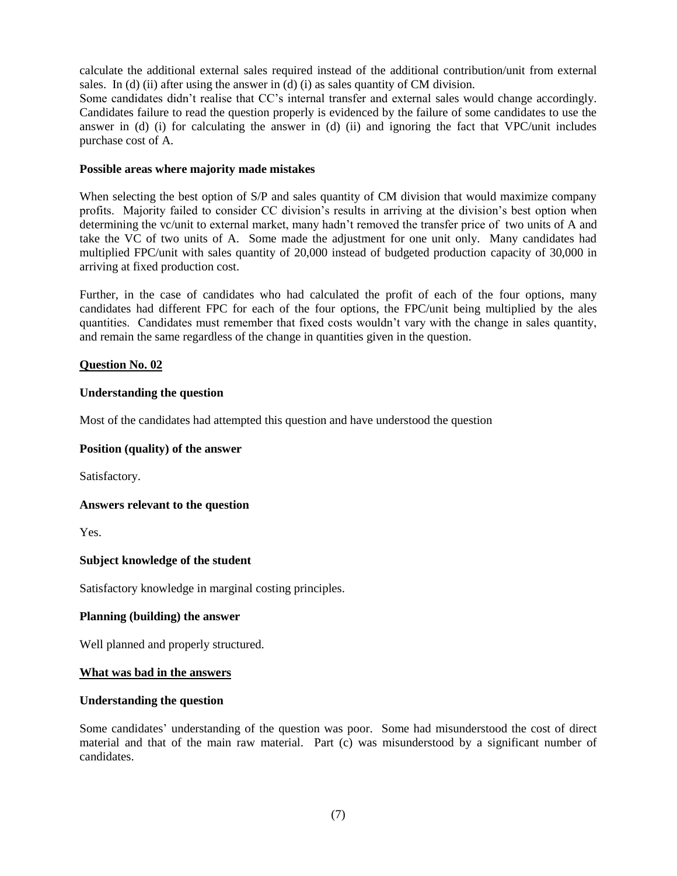calculate the additional external sales required instead of the additional contribution/unit from external sales. In (d) (ii) after using the answer in (d) (i) as sales quantity of CM division.

Some candidates didn't realise that CC's internal transfer and external sales would change accordingly. Candidates failure to read the question properly is evidenced by the failure of some candidates to use the answer in (d) (i) for calculating the answer in (d) (ii) and ignoring the fact that VPC/unit includes purchase cost of A.

## **Possible areas where majority made mistakes**

When selecting the best option of S/P and sales quantity of CM division that would maximize company profits. Majority failed to consider CC division's results in arriving at the division's best option when determining the vc/unit to external market, many hadn't removed the transfer price of two units of A and take the VC of two units of A. Some made the adjustment for one unit only. Many candidates had multiplied FPC/unit with sales quantity of 20,000 instead of budgeted production capacity of 30,000 in arriving at fixed production cost.

Further, in the case of candidates who had calculated the profit of each of the four options, many candidates had different FPC for each of the four options, the FPC/unit being multiplied by the ales quantities. Candidates must remember that fixed costs wouldn't vary with the change in sales quantity, and remain the same regardless of the change in quantities given in the question.

## **Question No. 02**

## **Understanding the question**

Most of the candidates had attempted this question and have understood the question

## **Position (quality) of the answer**

Satisfactory.

**Answers relevant to the question**

Yes.

## **Subject knowledge of the student**

Satisfactory knowledge in marginal costing principles.

## **Planning (building) the answer**

Well planned and properly structured.

#### **What was bad in the answers**

## **Understanding the question**

Some candidates' understanding of the question was poor. Some had misunderstood the cost of direct material and that of the main raw material. Part (c) was misunderstood by a significant number of candidates.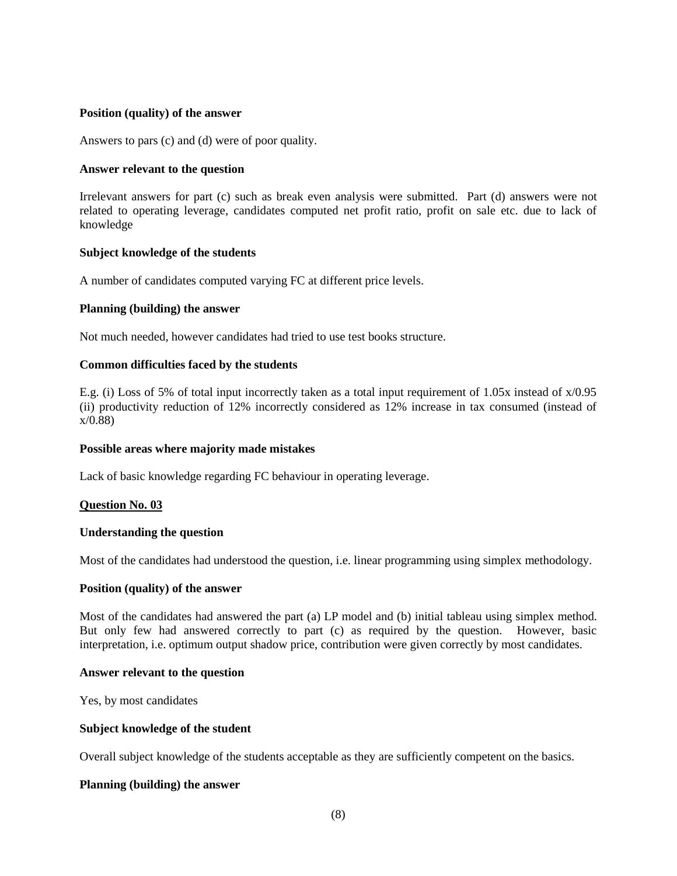## **Position (quality) of the answer**

Answers to pars (c) and (d) were of poor quality.

### **Answer relevant to the question**

Irrelevant answers for part (c) such as break even analysis were submitted. Part (d) answers were not related to operating leverage, candidates computed net profit ratio, profit on sale etc. due to lack of knowledge

## **Subject knowledge of the students**

A number of candidates computed varying FC at different price levels.

## **Planning (building) the answer**

Not much needed, however candidates had tried to use test books structure.

## **Common difficulties faced by the students**

E.g. (i) Loss of 5% of total input incorrectly taken as a total input requirement of 1.05x instead of x/0.95 (ii) productivity reduction of 12% incorrectly considered as 12% increase in tax consumed (instead of x/0.88)

#### **Possible areas where majority made mistakes**

Lack of basic knowledge regarding FC behaviour in operating leverage.

## **Question No. 03**

#### **Understanding the question**

Most of the candidates had understood the question, i.e. linear programming using simplex methodology.

#### **Position (quality) of the answer**

Most of the candidates had answered the part (a) LP model and (b) initial tableau using simplex method. But only few had answered correctly to part (c) as required by the question. However, basic interpretation, i.e. optimum output shadow price, contribution were given correctly by most candidates.

#### **Answer relevant to the question**

Yes, by most candidates

#### **Subject knowledge of the student**

Overall subject knowledge of the students acceptable as they are sufficiently competent on the basics.

## **Planning (building) the answer**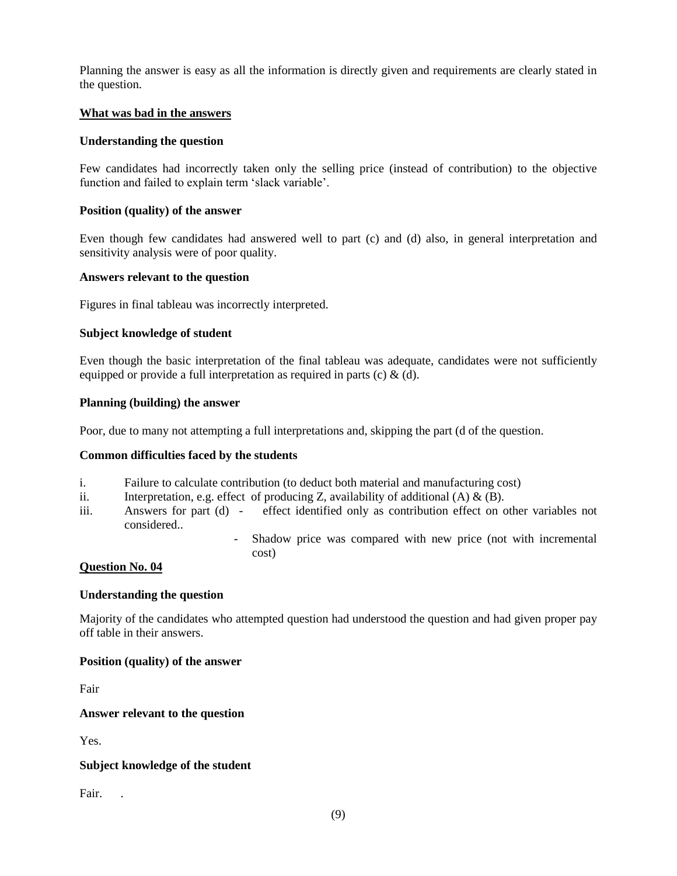Planning the answer is easy as all the information is directly given and requirements are clearly stated in the question.

## **What was bad in the answers**

## **Understanding the question**

Few candidates had incorrectly taken only the selling price (instead of contribution) to the objective function and failed to explain term 'slack variable'.

## **Position (quality) of the answer**

Even though few candidates had answered well to part (c) and (d) also, in general interpretation and sensitivity analysis were of poor quality.

## **Answers relevant to the question**

Figures in final tableau was incorrectly interpreted.

## **Subject knowledge of student**

Even though the basic interpretation of the final tableau was adequate, candidates were not sufficiently equipped or provide a full interpretation as required in parts (c)  $\&$  (d).

#### **Planning (building) the answer**

Poor, due to many not attempting a full interpretations and, skipping the part (d of the question.

### **Common difficulties faced by the students**

- i. Failure to calculate contribution (to deduct both material and manufacturing cost)
- ii. Interpretation, e.g. effect of producing Z, availability of additional  $(A) \& (B)$ .
- iii. Answers for part (d) effect identified only as contribution effect on other variables not considered..
	- Shadow price was compared with new price (not with incremental cost)

## **Question No. 04**

#### **Understanding the question**

Majority of the candidates who attempted question had understood the question and had given proper pay off table in their answers.

#### **Position (quality) of the answer**

Fair

#### **Answer relevant to the question**

Yes.

## **Subject knowledge of the student**

Fair.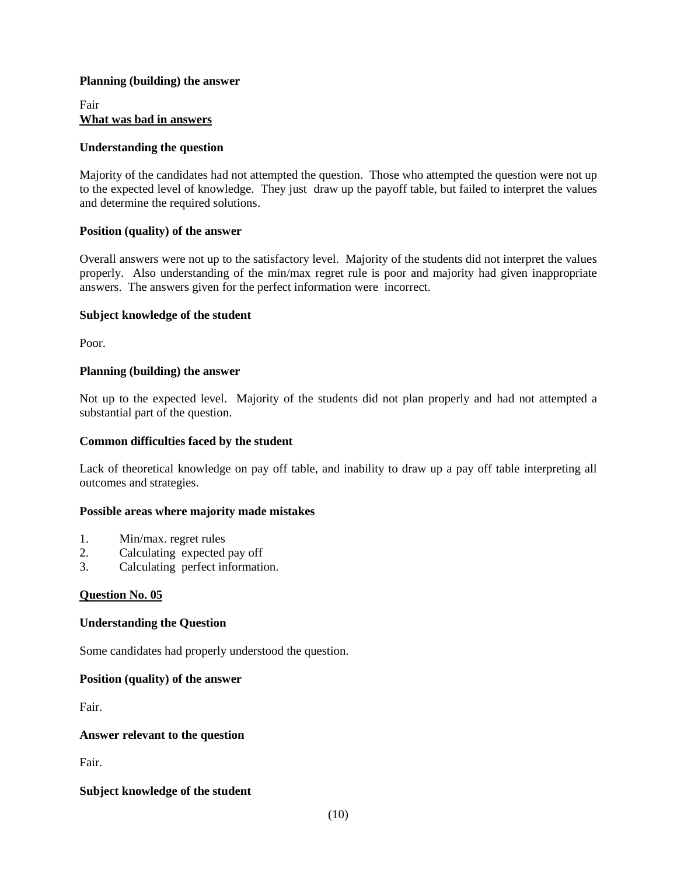## **Planning (building) the answer**

Fair **What was bad in answers**

### **Understanding the question**

Majority of the candidates had not attempted the question. Those who attempted the question were not up to the expected level of knowledge. They just draw up the payoff table, but failed to interpret the values and determine the required solutions.

## **Position (quality) of the answer**

Overall answers were not up to the satisfactory level. Majority of the students did not interpret the values properly. Also understanding of the min/max regret rule is poor and majority had given inappropriate answers. The answers given for the perfect information were incorrect.

## **Subject knowledge of the student**

Poor.

## **Planning (building) the answer**

Not up to the expected level. Majority of the students did not plan properly and had not attempted a substantial part of the question.

## **Common difficulties faced by the student**

Lack of theoretical knowledge on pay off table, and inability to draw up a pay off table interpreting all outcomes and strategies.

#### **Possible areas where majority made mistakes**

- 1. Min/max. regret rules
- 2. Calculating expected pay off
- 3. Calculating perfect information.

#### **Question No. 05**

#### **Understanding the Question**

Some candidates had properly understood the question.

#### **Position (quality) of the answer**

Fair.

#### **Answer relevant to the question**

Fair.

## **Subject knowledge of the student**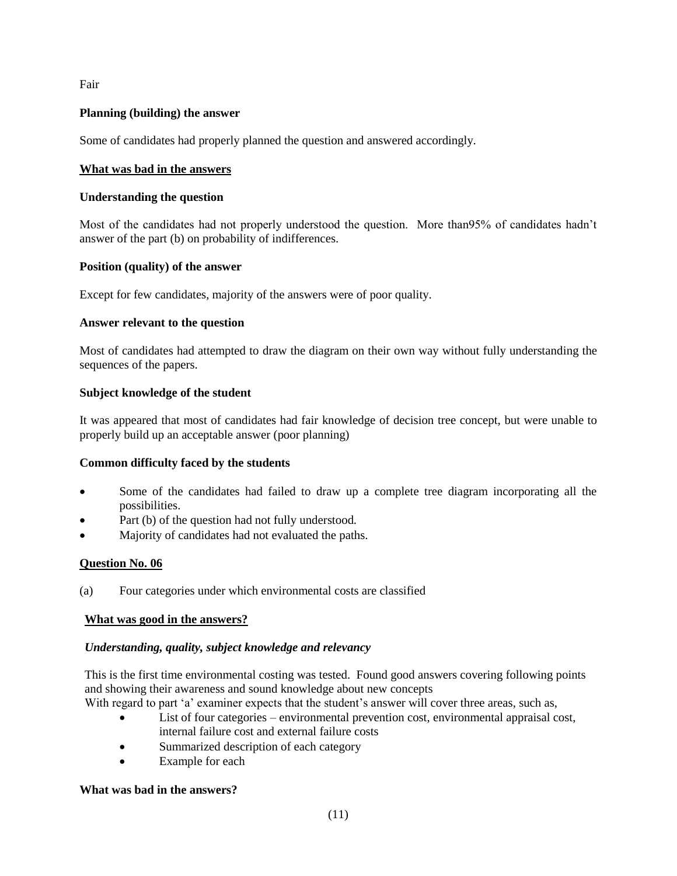Fair

# **Planning (building) the answer**

Some of candidates had properly planned the question and answered accordingly.

## **What was bad in the answers**

## **Understanding the question**

Most of the candidates had not properly understood the question. More than95% of candidates hadn't answer of the part (b) on probability of indifferences.

## **Position (quality) of the answer**

Except for few candidates, majority of the answers were of poor quality.

## **Answer relevant to the question**

Most of candidates had attempted to draw the diagram on their own way without fully understanding the sequences of the papers.

## **Subject knowledge of the student**

It was appeared that most of candidates had fair knowledge of decision tree concept, but were unable to properly build up an acceptable answer (poor planning)

## **Common difficulty faced by the students**

- Some of the candidates had failed to draw up a complete tree diagram incorporating all the possibilities.
- Part (b) of the question had not fully understood.
- Majority of candidates had not evaluated the paths.

## **Question No. 06**

(a) Four categories under which environmental costs are classified

## **What was good in the answers?**

## *Understanding, quality, subject knowledge and relevancy*

This is the first time environmental costing was tested. Found good answers covering following points and showing their awareness and sound knowledge about new concepts

- With regard to part 'a' examiner expects that the student's answer will cover three areas, such as,
	- List of four categories environmental prevention cost, environmental appraisal cost, internal failure cost and external failure costs
	- Summarized description of each category
	- Example for each

#### **What was bad in the answers?**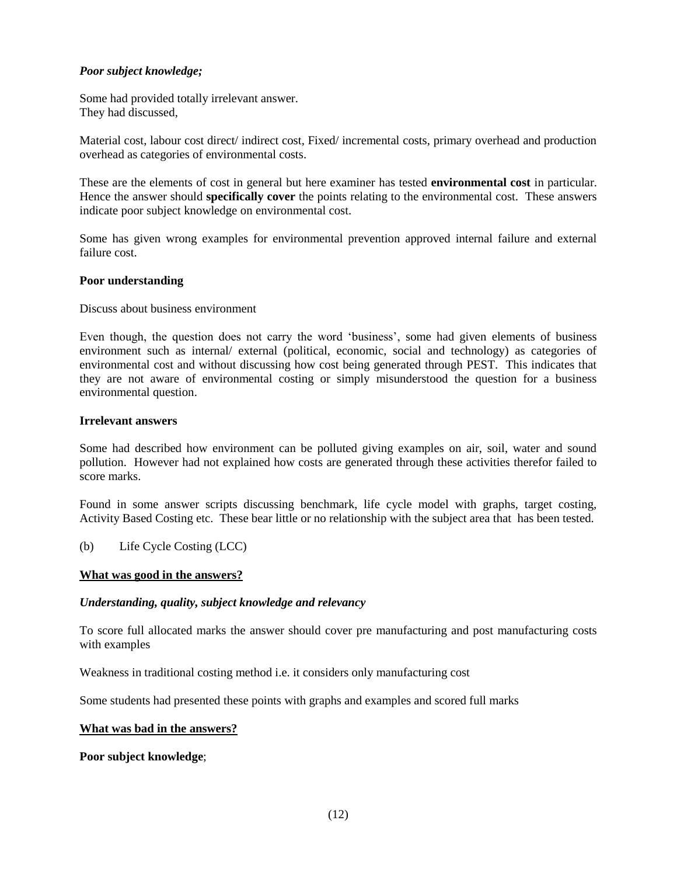## *Poor subject knowledge;*

Some had provided totally irrelevant answer. They had discussed,

Material cost, labour cost direct/ indirect cost, Fixed/ incremental costs, primary overhead and production overhead as categories of environmental costs.

These are the elements of cost in general but here examiner has tested **environmental cost** in particular. Hence the answer should **specifically cover** the points relating to the environmental cost. These answers indicate poor subject knowledge on environmental cost.

Some has given wrong examples for environmental prevention approved internal failure and external failure cost.

## **Poor understanding**

Discuss about business environment

Even though, the question does not carry the word 'business', some had given elements of business environment such as internal/ external (political, economic, social and technology) as categories of environmental cost and without discussing how cost being generated through PEST. This indicates that they are not aware of environmental costing or simply misunderstood the question for a business environmental question.

## **Irrelevant answers**

Some had described how environment can be polluted giving examples on air, soil, water and sound pollution. However had not explained how costs are generated through these activities therefor failed to score marks.

Found in some answer scripts discussing benchmark, life cycle model with graphs, target costing, Activity Based Costing etc. These bear little or no relationship with the subject area that has been tested.

(b) Life Cycle Costing (LCC)

#### **What was good in the answers?**

### *Understanding, quality, subject knowledge and relevancy*

To score full allocated marks the answer should cover pre manufacturing and post manufacturing costs with examples

Weakness in traditional costing method i.e. it considers only manufacturing cost

Some students had presented these points with graphs and examples and scored full marks

#### **What was bad in the answers?**

**Poor subject knowledge**;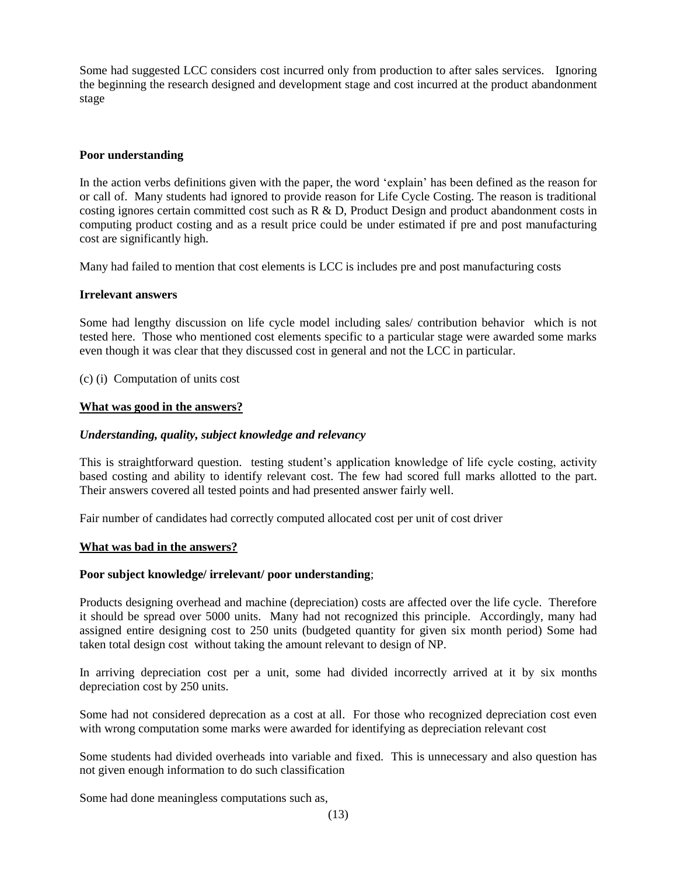Some had suggested LCC considers cost incurred only from production to after sales services. Ignoring the beginning the research designed and development stage and cost incurred at the product abandonment stage

## **Poor understanding**

In the action verbs definitions given with the paper, the word 'explain' has been defined as the reason for or call of. Many students had ignored to provide reason for Life Cycle Costing. The reason is traditional costing ignores certain committed cost such as R & D, Product Design and product abandonment costs in computing product costing and as a result price could be under estimated if pre and post manufacturing cost are significantly high.

Many had failed to mention that cost elements is LCC is includes pre and post manufacturing costs

## **Irrelevant answers**

Some had lengthy discussion on life cycle model including sales/ contribution behavior which is not tested here. Those who mentioned cost elements specific to a particular stage were awarded some marks even though it was clear that they discussed cost in general and not the LCC in particular.

(c) (i) Computation of units cost

## **What was good in the answers?**

## *Understanding, quality, subject knowledge and relevancy*

This is straightforward question. testing student's application knowledge of life cycle costing, activity based costing and ability to identify relevant cost. The few had scored full marks allotted to the part. Their answers covered all tested points and had presented answer fairly well.

Fair number of candidates had correctly computed allocated cost per unit of cost driver

## **What was bad in the answers?**

## **Poor subject knowledge/ irrelevant/ poor understanding**;

Products designing overhead and machine (depreciation) costs are affected over the life cycle. Therefore it should be spread over 5000 units. Many had not recognized this principle. Accordingly, many had assigned entire designing cost to 250 units (budgeted quantity for given six month period) Some had taken total design cost without taking the amount relevant to design of NP.

In arriving depreciation cost per a unit, some had divided incorrectly arrived at it by six months depreciation cost by 250 units.

Some had not considered deprecation as a cost at all. For those who recognized depreciation cost even with wrong computation some marks were awarded for identifying as depreciation relevant cost

Some students had divided overheads into variable and fixed. This is unnecessary and also question has not given enough information to do such classification

Some had done meaningless computations such as,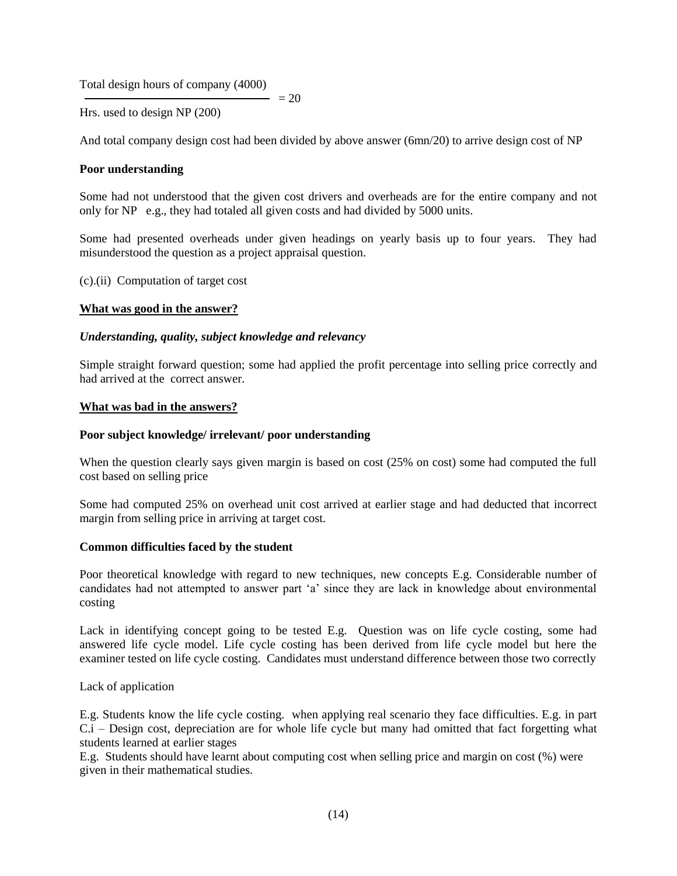Total design hours of company (4000)

Hrs. used to design NP (200)

And total company design cost had been divided by above answer (6mn/20) to arrive design cost of NP

 $= 20$ 

## **Poor understanding**

Some had not understood that the given cost drivers and overheads are for the entire company and not only for NP e.g., they had totaled all given costs and had divided by 5000 units.

Some had presented overheads under given headings on yearly basis up to four years. They had misunderstood the question as a project appraisal question.

(c).(ii) Computation of target cost

#### **What was good in the answer?**

#### *Understanding, quality, subject knowledge and relevancy*

Simple straight forward question; some had applied the profit percentage into selling price correctly and had arrived at the correct answer.

### **What was bad in the answers?**

#### **Poor subject knowledge/ irrelevant/ poor understanding**

When the question clearly says given margin is based on cost (25% on cost) some had computed the full cost based on selling price

Some had computed 25% on overhead unit cost arrived at earlier stage and had deducted that incorrect margin from selling price in arriving at target cost.

### **Common difficulties faced by the student**

Poor theoretical knowledge with regard to new techniques, new concepts E.g. Considerable number of candidates had not attempted to answer part 'a' since they are lack in knowledge about environmental costing

Lack in identifying concept going to be tested E.g. Question was on life cycle costing, some had answered life cycle model. Life cycle costing has been derived from life cycle model but here the examiner tested on life cycle costing. Candidates must understand difference between those two correctly

Lack of application

E.g. Students know the life cycle costing. when applying real scenario they face difficulties. E.g. in part C.i – Design cost, depreciation are for whole life cycle but many had omitted that fact forgetting what students learned at earlier stages

E.g. Students should have learnt about computing cost when selling price and margin on cost (%) were given in their mathematical studies.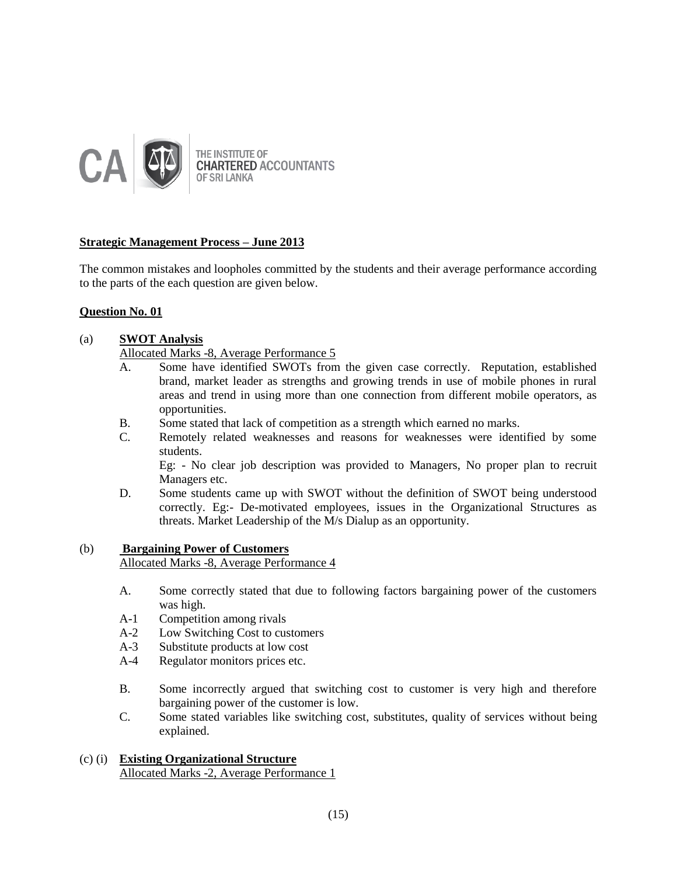

# **Strategic Management Process – June 2013**

The common mistakes and loopholes committed by the students and their average performance according to the parts of the each question are given below.

# **Question No. 01**

## (a) **SWOT Analysis**

Allocated Marks -8, Average Performance 5

- A. Some have identified SWOTs from the given case correctly. Reputation, established brand, market leader as strengths and growing trends in use of mobile phones in rural areas and trend in using more than one connection from different mobile operators, as opportunities.
- B. Some stated that lack of competition as a strength which earned no marks.
- C. Remotely related weaknesses and reasons for weaknesses were identified by some students.

Eg: - No clear job description was provided to Managers, No proper plan to recruit Managers etc.

D. Some students came up with SWOT without the definition of SWOT being understood correctly. Eg:- De-motivated employees, issues in the Organizational Structures as threats. Market Leadership of the M/s Dialup as an opportunity.

## (b) **Bargaining Power of Customers**

Allocated Marks -8, Average Performance 4

- A. Some correctly stated that due to following factors bargaining power of the customers was high.
- A-1 Competition among rivals
- A-2 Low Switching Cost to customers
- A-3 Substitute products at low cost
- A-4 Regulator monitors prices etc.
- B. Some incorrectly argued that switching cost to customer is very high and therefore bargaining power of the customer is low.
- C. Some stated variables like switching cost, substitutes, quality of services without being explained.

# (c) (i) **Existing Organizational Structure**  Allocated Marks -2, Average Performance 1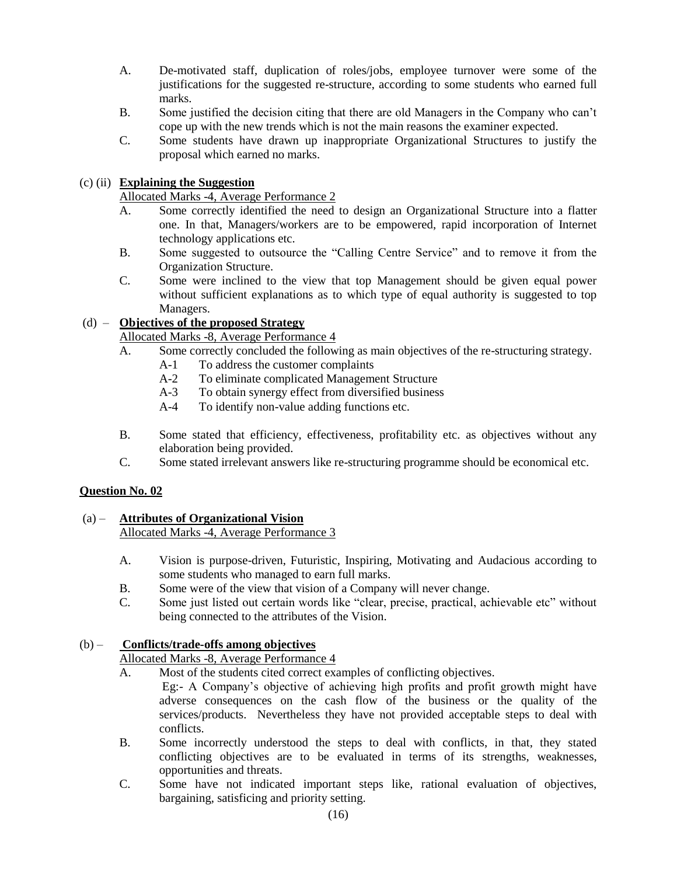- A. De-motivated staff, duplication of roles/jobs, employee turnover were some of the justifications for the suggested re-structure, according to some students who earned full marks.
- B. Some justified the decision citing that there are old Managers in the Company who can't cope up with the new trends which is not the main reasons the examiner expected.
- C. Some students have drawn up inappropriate Organizational Structures to justify the proposal which earned no marks.

# (c) (ii) **Explaining the Suggestion**

Allocated Marks -4, Average Performance 2

- A. Some correctly identified the need to design an Organizational Structure into a flatter one. In that, Managers/workers are to be empowered, rapid incorporation of Internet technology applications etc.
- B. Some suggested to outsource the "Calling Centre Service" and to remove it from the Organization Structure.
- C. Some were inclined to the view that top Management should be given equal power without sufficient explanations as to which type of equal authority is suggested to top Managers.

# (d) – **Objectives of the proposed Strategy**

Allocated Marks -8, Average Performance 4

- A. Some correctly concluded the following as main objectives of the re-structuring strategy.
	- A-1 To address the customer complaints
	- A-2 To eliminate complicated Management Structure
	- A-3 To obtain synergy effect from diversified business
	- A-4 To identify non-value adding functions etc.
- B. Some stated that efficiency, effectiveness, profitability etc. as objectives without any elaboration being provided.
- C. Some stated irrelevant answers like re-structuring programme should be economical etc.

# **Question No. 02**

# (a) – **Attributes of Organizational Vision**

Allocated Marks -4, Average Performance 3

- A. Vision is purpose-driven, Futuristic, Inspiring, Motivating and Audacious according to some students who managed to earn full marks.
- B. Some were of the view that vision of a Company will never change.
- C. Some just listed out certain words like "clear, precise, practical, achievable etc" without being connected to the attributes of the Vision.

# (b) – **Conflicts/trade-offs among objectives**

# Allocated Marks -8, Average Performance 4

- A. Most of the students cited correct examples of conflicting objectives.
	- Eg:- A Company's objective of achieving high profits and profit growth might have adverse consequences on the cash flow of the business or the quality of the services/products. Nevertheless they have not provided acceptable steps to deal with conflicts.
- B. Some incorrectly understood the steps to deal with conflicts, in that, they stated conflicting objectives are to be evaluated in terms of its strengths, weaknesses, opportunities and threats.
- C. Some have not indicated important steps like, rational evaluation of objectives, bargaining, satisficing and priority setting.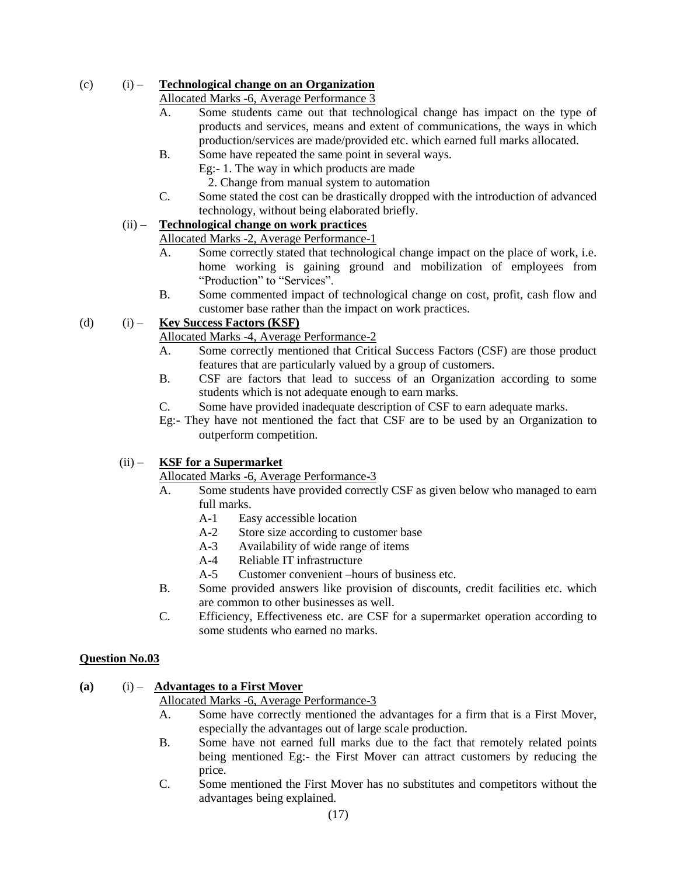# (c) (i) – **Technological change on an Organization**

# Allocated Marks -6, Average Performance 3

- A. Some students came out that technological change has impact on the type of products and services, means and extent of communications, the ways in which production/services are made/provided etc. which earned full marks allocated.
- B. Some have repeated the same point in several ways.

Eg:- 1. The way in which products are made

2. Change from manual system to automation

C. Some stated the cost can be drastically dropped with the introduction of advanced technology, without being elaborated briefly.

# (ii) **– Technological change on work practices**

# Allocated Marks -2, Average Performance-1

- A. Some correctly stated that technological change impact on the place of work, i.e. home working is gaining ground and mobilization of employees from "Production" to "Services".
- B. Some commented impact of technological change on cost, profit, cash flow and customer base rather than the impact on work practices.

# (d) (i) – **Key Success Factors (KSF)**

# Allocated Marks -4, Average Performance-2

- A. Some correctly mentioned that Critical Success Factors (CSF) are those product features that are particularly valued by a group of customers.
- B. CSF are factors that lead to success of an Organization according to some students which is not adequate enough to earn marks.
- C. Some have provided inadequate description of CSF to earn adequate marks.
- Eg:- They have not mentioned the fact that CSF are to be used by an Organization to outperform competition.

# (ii) – **KSF for a Supermarket**

# Allocated Marks -6, Average Performance-3

- A. Some students have provided correctly CSF as given below who managed to earn full marks.
	- A-1 Easy accessible location
	- A-2 Store size according to customer base
	- A-3 Availability of wide range of items
	- A-4 Reliable IT infrastructure
	- A-5 Customer convenient –hours of business etc.
- B. Some provided answers like provision of discounts, credit facilities etc. which are common to other businesses as well.
- C. Efficiency, Effectiveness etc. are CSF for a supermarket operation according to some students who earned no marks.

# **Question No.03**

# **(a)** (i) – **Advantages to a First Mover**

# Allocated Marks -6, Average Performance-3

- A. Some have correctly mentioned the advantages for a firm that is a First Mover, especially the advantages out of large scale production.
- B. Some have not earned full marks due to the fact that remotely related points being mentioned Eg:- the First Mover can attract customers by reducing the price.
- C. Some mentioned the First Mover has no substitutes and competitors without the advantages being explained.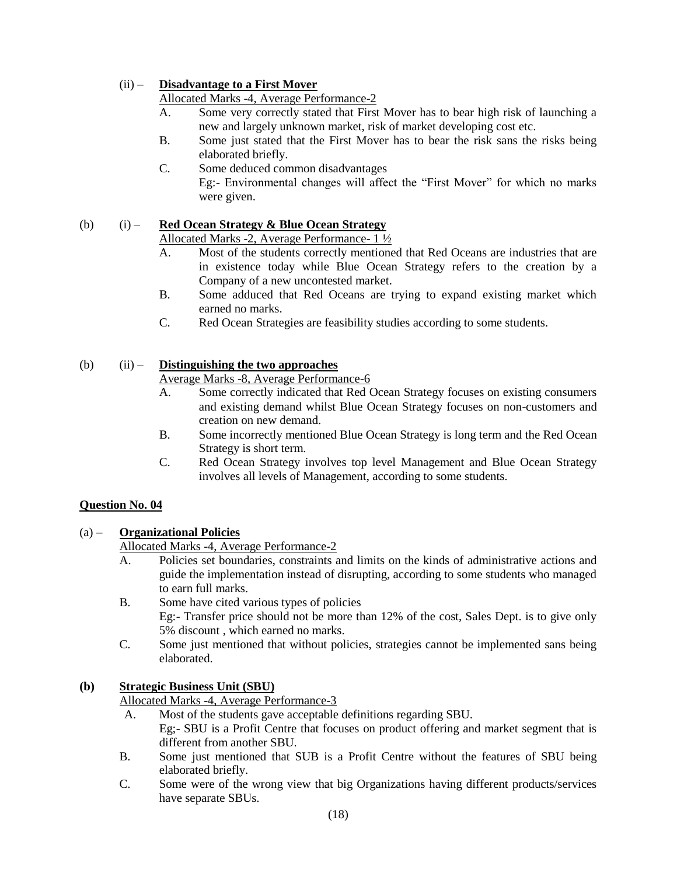# (ii) – **Disadvantage to a First Mover**

Allocated Marks -4, Average Performance-2

- A. Some very correctly stated that First Mover has to bear high risk of launching a new and largely unknown market, risk of market developing cost etc.
- B. Some just stated that the First Mover has to bear the risk sans the risks being elaborated briefly.
- C. Some deduced common disadvantages Eg:- Environmental changes will affect the "First Mover" for which no marks were given.

# (b) (i) – **Red Ocean Strategy & Blue Ocean Strategy**

# Allocated Marks -2, Average Performance- 1 ½

- A. Most of the students correctly mentioned that Red Oceans are industries that are in existence today while Blue Ocean Strategy refers to the creation by a Company of a new uncontested market.
- B. Some adduced that Red Oceans are trying to expand existing market which earned no marks.
- C. Red Ocean Strategies are feasibility studies according to some students.

# (b) (ii) – **Distinguishing the two approaches**

# Average Marks -8, Average Performance-6

- A. Some correctly indicated that Red Ocean Strategy focuses on existing consumers and existing demand whilst Blue Ocean Strategy focuses on non-customers and creation on new demand.
- B. Some incorrectly mentioned Blue Ocean Strategy is long term and the Red Ocean Strategy is short term.
- C. Red Ocean Strategy involves top level Management and Blue Ocean Strategy involves all levels of Management, according to some students.

# **Question No. 04**

# (a) – **Organizational Policies**

Allocated Marks -4, Average Performance-2

- A. Policies set boundaries, constraints and limits on the kinds of administrative actions and guide the implementation instead of disrupting, according to some students who managed to earn full marks.
- B. Some have cited various types of policies Eg:- Transfer price should not be more than 12% of the cost, Sales Dept. is to give only 5% discount , which earned no marks.
- C. Some just mentioned that without policies, strategies cannot be implemented sans being elaborated.

# **(b) Strategic Business Unit (SBU)**

Allocated Marks -4, Average Performance-3

- A. Most of the students gave acceptable definitions regarding SBU.
	- Eg;- SBU is a Profit Centre that focuses on product offering and market segment that is different from another SBU.
- B. Some just mentioned that SUB is a Profit Centre without the features of SBU being elaborated briefly.
- C. Some were of the wrong view that big Organizations having different products/services have separate SBUs.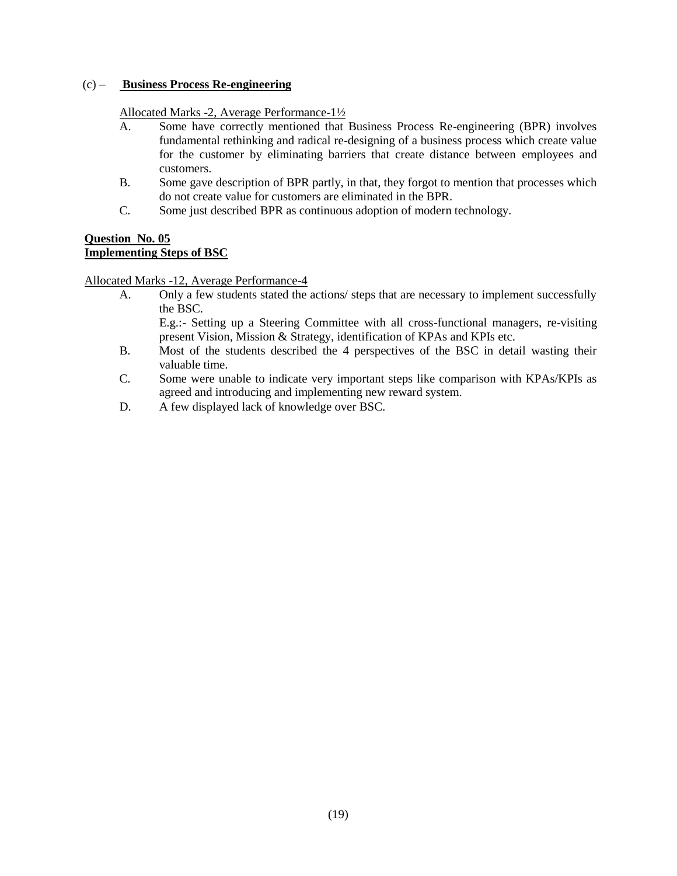## (c) – **Business Process Re-engineering**

## Allocated Marks -2, Average Performance-1½

- A. Some have correctly mentioned that Business Process Re-engineering (BPR) involves fundamental rethinking and radical re-designing of a business process which create value for the customer by eliminating barriers that create distance between employees and customers.
- B. Some gave description of BPR partly, in that, they forgot to mention that processes which do not create value for customers are eliminated in the BPR.
- C. Some just described BPR as continuous adoption of modern technology.

# **Question No. 05 Implementing Steps of BSC**

Allocated Marks -12, Average Performance-4

A. Only a few students stated the actions/ steps that are necessary to implement successfully the BSC.

E.g.:- Setting up a Steering Committee with all cross-functional managers, re-visiting present Vision, Mission & Strategy, identification of KPAs and KPIs etc.

- B. Most of the students described the 4 perspectives of the BSC in detail wasting their valuable time.
- C. Some were unable to indicate very important steps like comparison with KPAs/KPIs as agreed and introducing and implementing new reward system.
- D. A few displayed lack of knowledge over BSC.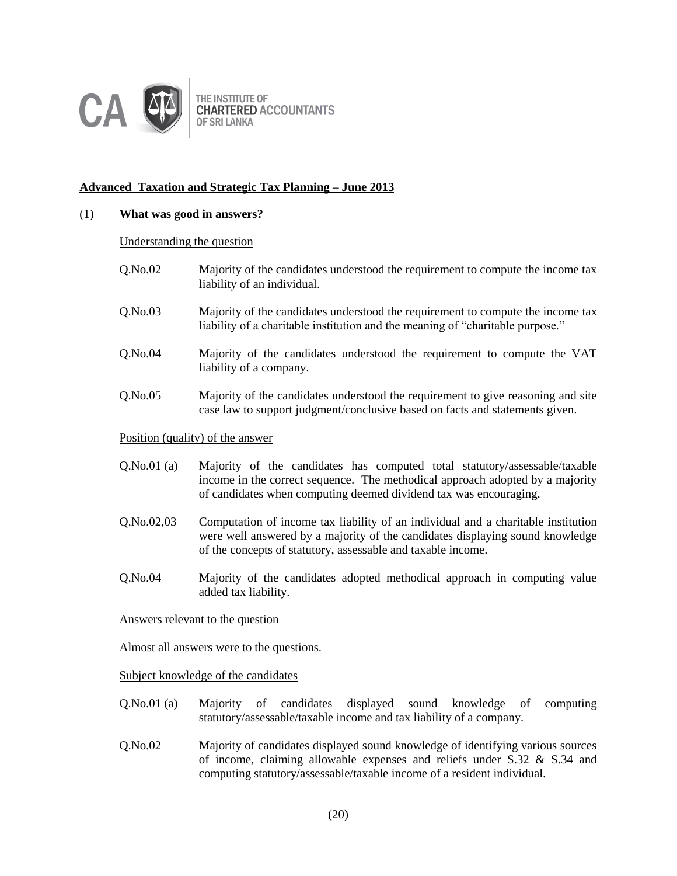

THE INSTITUTE OF **CHARTERED ACCOUNTANTS** OF SRI LANKA

# **Advanced Taxation and Strategic Tax Planning – June 2013**

### (1) **What was good in answers?**

#### Understanding the question

- Q.No.02 Majority of the candidates understood the requirement to compute the income tax liability of an individual.
- Q.No.03 Majority of the candidates understood the requirement to compute the income tax liability of a charitable institution and the meaning of "charitable purpose."
- Q.No.04 Majority of the candidates understood the requirement to compute the VAT liability of a company.
- Q.No.05 Majority of the candidates understood the requirement to give reasoning and site case law to support judgment/conclusive based on facts and statements given.

#### Position (quality) of the answer

- Q.No.01 (a) Majority of the candidates has computed total statutory/assessable/taxable income in the correct sequence. The methodical approach adopted by a majority of candidates when computing deemed dividend tax was encouraging.
- Q.No.02,03 Computation of income tax liability of an individual and a charitable institution were well answered by a majority of the candidates displaying sound knowledge of the concepts of statutory, assessable and taxable income.
- Q.No.04 Majority of the candidates adopted methodical approach in computing value added tax liability.

## Answers relevant to the question

Almost all answers were to the questions.

Subject knowledge of the candidates

- Q.No.01 (a) Majority of candidates displayed sound knowledge of computing statutory/assessable/taxable income and tax liability of a company.
- Q.No.02 Majority of candidates displayed sound knowledge of identifying various sources of income, claiming allowable expenses and reliefs under S.32 & S.34 and computing statutory/assessable/taxable income of a resident individual.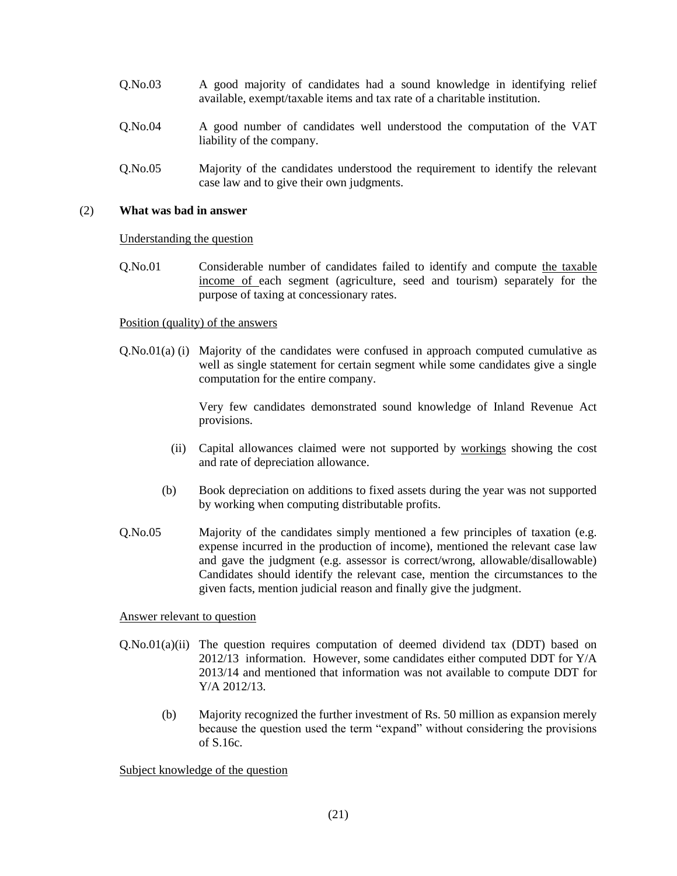- Q.No.03 A good majority of candidates had a sound knowledge in identifying relief available, exempt/taxable items and tax rate of a charitable institution.
- Q.No.04 A good number of candidates well understood the computation of the VAT liability of the company.
- Q.No.05 Majority of the candidates understood the requirement to identify the relevant case law and to give their own judgments.

#### (2) **What was bad in answer**

#### Understanding the question

Q.No.01 Considerable number of candidates failed to identify and compute the taxable income of each segment (agriculture, seed and tourism) separately for the purpose of taxing at concessionary rates.

#### Position (quality) of the answers

Q.No.01(a) (i) Majority of the candidates were confused in approach computed cumulative as well as single statement for certain segment while some candidates give a single computation for the entire company.

> Very few candidates demonstrated sound knowledge of Inland Revenue Act provisions.

- (ii) Capital allowances claimed were not supported by workings showing the cost and rate of depreciation allowance.
- (b) Book depreciation on additions to fixed assets during the year was not supported by working when computing distributable profits.
- Q.No.05 Majority of the candidates simply mentioned a few principles of taxation (e.g. expense incurred in the production of income), mentioned the relevant case law and gave the judgment (e.g. assessor is correct/wrong, allowable/disallowable) Candidates should identify the relevant case, mention the circumstances to the given facts, mention judicial reason and finally give the judgment.

#### Answer relevant to question

- Q.No.01(a)(ii) The question requires computation of deemed dividend tax (DDT) based on 2012/13 information. However, some candidates either computed DDT for Y/A 2013/14 and mentioned that information was not available to compute DDT for Y/A 2012/13.
	- (b) Majority recognized the further investment of Rs. 50 million as expansion merely because the question used the term "expand" without considering the provisions of S.16c.

#### Subject knowledge of the question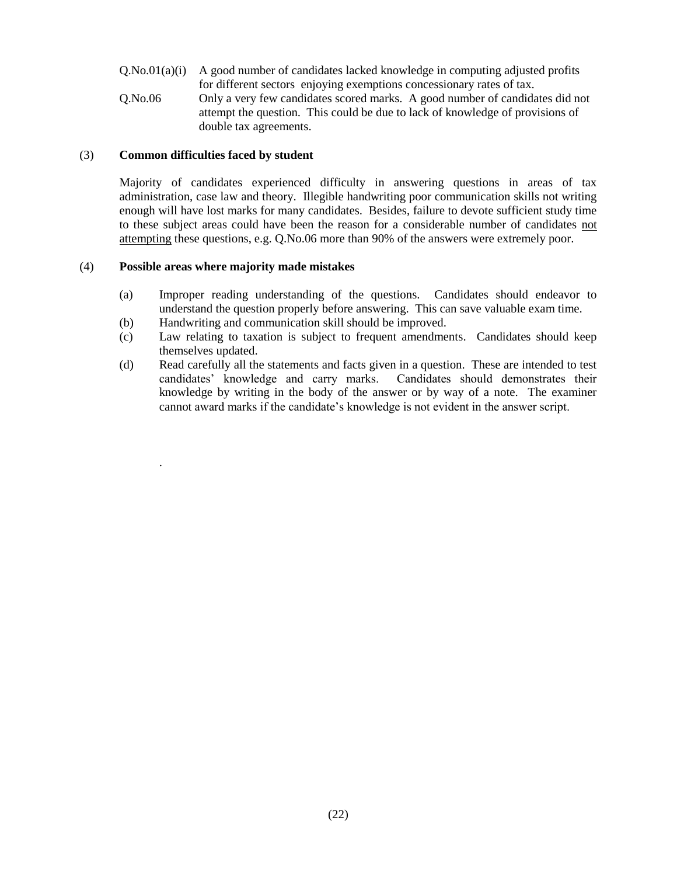$Q. No.01(a)(i)$  A good number of candidates lacked knowledge in computing adjusted profits for different sectors enjoying exemptions concessionary rates of tax. Q.No.06 Only a very few candidates scored marks. A good number of candidates did not attempt the question. This could be due to lack of knowledge of provisions of double tax agreements.

## (3) **Common difficulties faced by student**

Majority of candidates experienced difficulty in answering questions in areas of tax administration, case law and theory. Illegible handwriting poor communication skills not writing enough will have lost marks for many candidates. Besides, failure to devote sufficient study time to these subject areas could have been the reason for a considerable number of candidates not attempting these questions, e.g. Q.No.06 more than 90% of the answers were extremely poor.

## (4) **Possible areas where majority made mistakes**

.

- (a) Improper reading understanding of the questions. Candidates should endeavor to understand the question properly before answering. This can save valuable exam time.
- (b) Handwriting and communication skill should be improved.
- (c) Law relating to taxation is subject to frequent amendments. Candidates should keep themselves updated.
- (d) Read carefully all the statements and facts given in a question. These are intended to test candidates' knowledge and carry marks. Candidates should demonstrates their knowledge by writing in the body of the answer or by way of a note. The examiner cannot award marks if the candidate's knowledge is not evident in the answer script.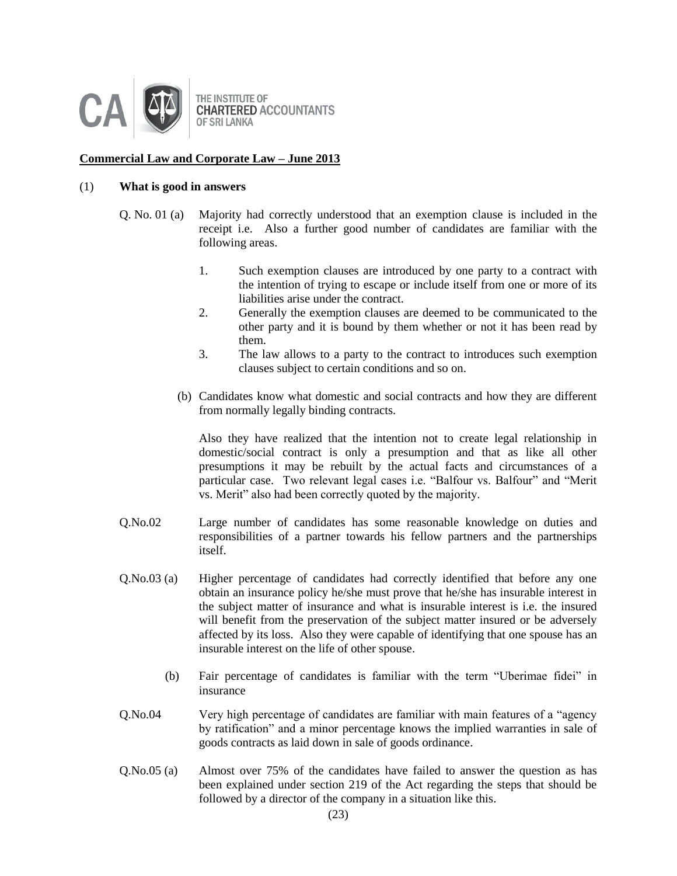

# **Commercial Law and Corporate Law – June 2013**

#### (1) **What is good in answers**

- Q. No. 01 (a) Majority had correctly understood that an exemption clause is included in the receipt i.e. Also a further good number of candidates are familiar with the following areas.
	- 1. Such exemption clauses are introduced by one party to a contract with the intention of trying to escape or include itself from one or more of its liabilities arise under the contract.
	- 2. Generally the exemption clauses are deemed to be communicated to the other party and it is bound by them whether or not it has been read by them.
	- 3. The law allows to a party to the contract to introduces such exemption clauses subject to certain conditions and so on.
	- (b) Candidates know what domestic and social contracts and how they are different from normally legally binding contracts.

Also they have realized that the intention not to create legal relationship in domestic/social contract is only a presumption and that as like all other presumptions it may be rebuilt by the actual facts and circumstances of a particular case. Two relevant legal cases i.e. "Balfour vs. Balfour" and "Merit vs. Merit" also had been correctly quoted by the majority.

- Q.No.02 Large number of candidates has some reasonable knowledge on duties and responsibilities of a partner towards his fellow partners and the partnerships itself.
- Q.No.03 (a) Higher percentage of candidates had correctly identified that before any one obtain an insurance policy he/she must prove that he/she has insurable interest in the subject matter of insurance and what is insurable interest is i.e. the insured will benefit from the preservation of the subject matter insured or be adversely affected by its loss. Also they were capable of identifying that one spouse has an insurable interest on the life of other spouse.
	- (b) Fair percentage of candidates is familiar with the term "Uberimae fidei" in insurance
- Q.No.04 Very high percentage of candidates are familiar with main features of a "agency by ratification" and a minor percentage knows the implied warranties in sale of goods contracts as laid down in sale of goods ordinance.
- Q.No.05 (a) Almost over 75% of the candidates have failed to answer the question as has been explained under section 219 of the Act regarding the steps that should be followed by a director of the company in a situation like this.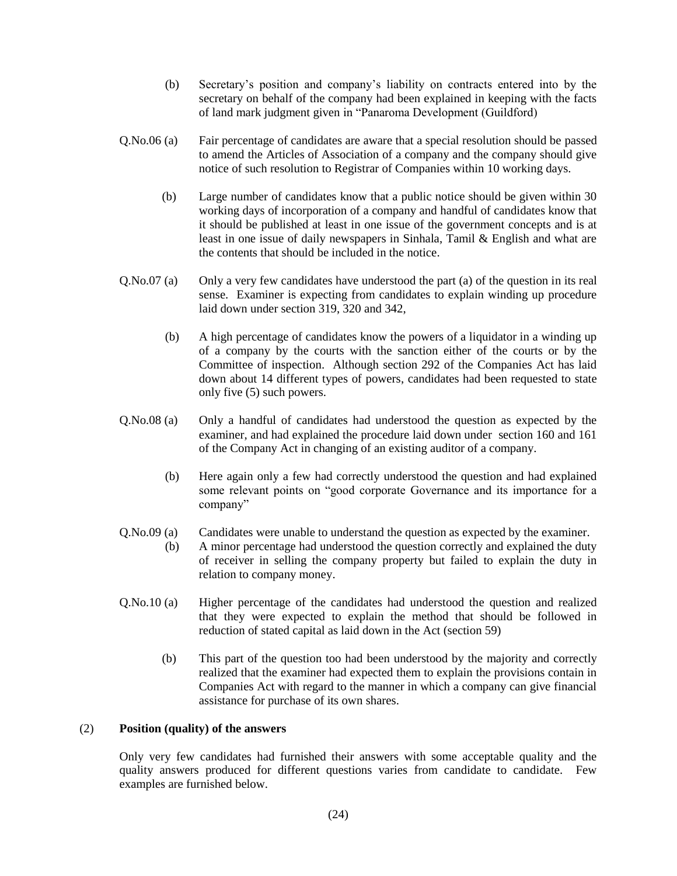- (b) Secretary's position and company's liability on contracts entered into by the secretary on behalf of the company had been explained in keeping with the facts of land mark judgment given in "Panaroma Development (Guildford)
- Q.No.06 (a) Fair percentage of candidates are aware that a special resolution should be passed to amend the Articles of Association of a company and the company should give notice of such resolution to Registrar of Companies within 10 working days.
	- (b) Large number of candidates know that a public notice should be given within 30 working days of incorporation of a company and handful of candidates know that it should be published at least in one issue of the government concepts and is at least in one issue of daily newspapers in Sinhala, Tamil & English and what are the contents that should be included in the notice.
- Q.No.07 (a) Only a very few candidates have understood the part (a) of the question in its real sense. Examiner is expecting from candidates to explain winding up procedure laid down under section 319, 320 and 342,
	- (b) A high percentage of candidates know the powers of a liquidator in a winding up of a company by the courts with the sanction either of the courts or by the Committee of inspection. Although section 292 of the Companies Act has laid down about 14 different types of powers, candidates had been requested to state only five (5) such powers.
- Q.No.08 (a) Only a handful of candidates had understood the question as expected by the examiner, and had explained the procedure laid down under section 160 and 161 of the Company Act in changing of an existing auditor of a company.
	- (b) Here again only a few had correctly understood the question and had explained some relevant points on "good corporate Governance and its importance for a company"
- Q.No.09 (a) Candidates were unable to understand the question as expected by the examiner.
	- (b) A minor percentage had understood the question correctly and explained the duty of receiver in selling the company property but failed to explain the duty in relation to company money.
- Q.No.10 (a) Higher percentage of the candidates had understood the question and realized that they were expected to explain the method that should be followed in reduction of stated capital as laid down in the Act (section 59)
	- (b) This part of the question too had been understood by the majority and correctly realized that the examiner had expected them to explain the provisions contain in Companies Act with regard to the manner in which a company can give financial assistance for purchase of its own shares.

## (2) **Position (quality) of the answers**

Only very few candidates had furnished their answers with some acceptable quality and the quality answers produced for different questions varies from candidate to candidate. Few examples are furnished below.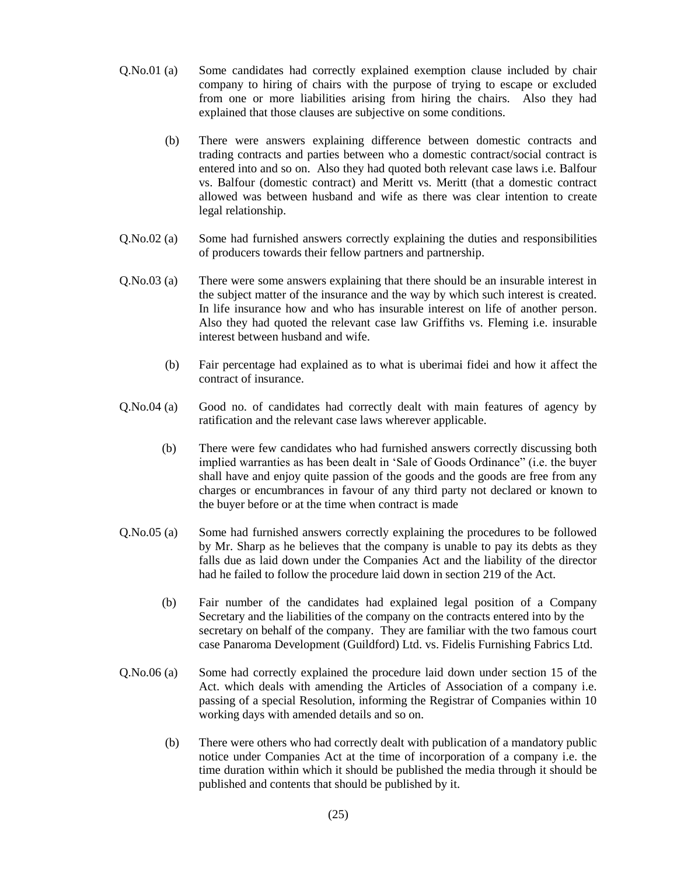- Q.No.01 (a) Some candidates had correctly explained exemption clause included by chair company to hiring of chairs with the purpose of trying to escape or excluded from one or more liabilities arising from hiring the chairs. Also they had explained that those clauses are subjective on some conditions.
	- (b) There were answers explaining difference between domestic contracts and trading contracts and parties between who a domestic contract/social contract is entered into and so on. Also they had quoted both relevant case laws i.e. Balfour vs. Balfour (domestic contract) and Meritt vs. Meritt (that a domestic contract allowed was between husband and wife as there was clear intention to create legal relationship.
- Q.No.02 (a) Some had furnished answers correctly explaining the duties and responsibilities of producers towards their fellow partners and partnership.
- Q.No.03 (a) There were some answers explaining that there should be an insurable interest in the subject matter of the insurance and the way by which such interest is created. In life insurance how and who has insurable interest on life of another person. Also they had quoted the relevant case law Griffiths vs. Fleming i.e. insurable interest between husband and wife.
	- (b) Fair percentage had explained as to what is uberimai fidei and how it affect the contract of insurance.
- Q.No.04 (a) Good no. of candidates had correctly dealt with main features of agency by ratification and the relevant case laws wherever applicable.
	- (b) There were few candidates who had furnished answers correctly discussing both implied warranties as has been dealt in 'Sale of Goods Ordinance" (i.e. the buyer shall have and enjoy quite passion of the goods and the goods are free from any charges or encumbrances in favour of any third party not declared or known to the buyer before or at the time when contract is made
- Q.No.05 (a) Some had furnished answers correctly explaining the procedures to be followed by Mr. Sharp as he believes that the company is unable to pay its debts as they falls due as laid down under the Companies Act and the liability of the director had he failed to follow the procedure laid down in section 219 of the Act.
	- (b) Fair number of the candidates had explained legal position of a Company Secretary and the liabilities of the company on the contracts entered into by the secretary on behalf of the company. They are familiar with the two famous court case Panaroma Development (Guildford) Ltd. vs. Fidelis Furnishing Fabrics Ltd.
- Q.No.06 (a) Some had correctly explained the procedure laid down under section 15 of the Act. which deals with amending the Articles of Association of a company i.e. passing of a special Resolution, informing the Registrar of Companies within 10 working days with amended details and so on.
	- (b) There were others who had correctly dealt with publication of a mandatory public notice under Companies Act at the time of incorporation of a company i.e. the time duration within which it should be published the media through it should be published and contents that should be published by it.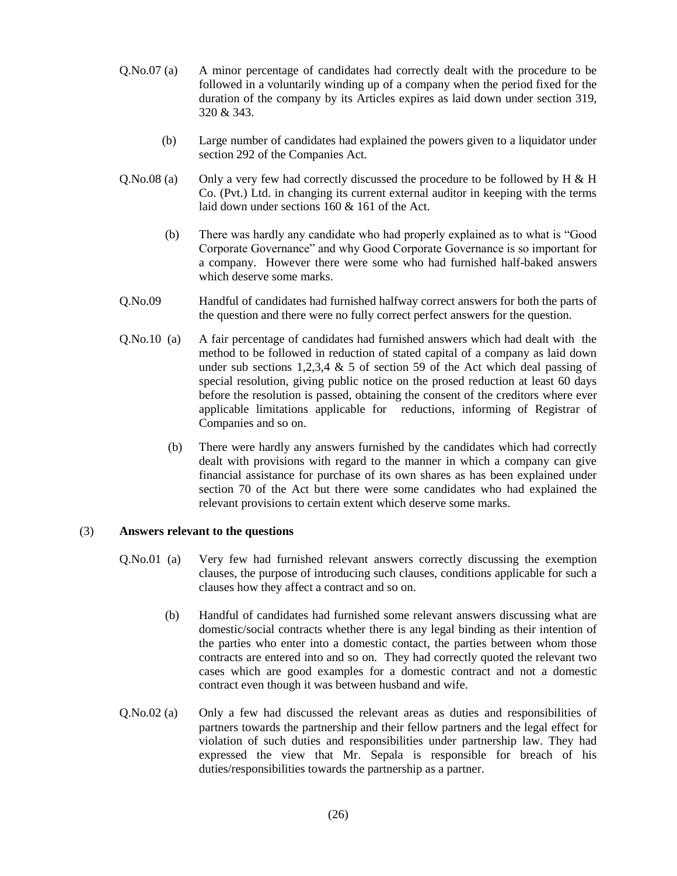- Q.No.07 (a) A minor percentage of candidates had correctly dealt with the procedure to be followed in a voluntarily winding up of a company when the period fixed for the duration of the company by its Articles expires as laid down under section 319, 320 & 343.
	- (b) Large number of candidates had explained the powers given to a liquidator under section 292 of the Companies Act.
- Q.No.08 (a) Only a very few had correctly discussed the procedure to be followed by H & H Co. (Pvt.) Ltd. in changing its current external auditor in keeping with the terms laid down under sections 160 & 161 of the Act.
	- (b) There was hardly any candidate who had properly explained as to what is "Good Corporate Governance" and why Good Corporate Governance is so important for a company. However there were some who had furnished half-baked answers which deserve some marks.
- Q.No.09 Handful of candidates had furnished halfway correct answers for both the parts of the question and there were no fully correct perfect answers for the question.
- Q.No.10 (a) A fair percentage of candidates had furnished answers which had dealt with the method to be followed in reduction of stated capital of a company as laid down under sub sections 1,2,3,4  $\&$  5 of section 59 of the Act which deal passing of special resolution, giving public notice on the prosed reduction at least 60 days before the resolution is passed, obtaining the consent of the creditors where ever applicable limitations applicable for reductions, informing of Registrar of Companies and so on.
	- (b) There were hardly any answers furnished by the candidates which had correctly dealt with provisions with regard to the manner in which a company can give financial assistance for purchase of its own shares as has been explained under section 70 of the Act but there were some candidates who had explained the relevant provisions to certain extent which deserve some marks.

#### (3) **Answers relevant to the questions**

- Q.No.01 (a) Very few had furnished relevant answers correctly discussing the exemption clauses, the purpose of introducing such clauses, conditions applicable for such a clauses how they affect a contract and so on.
	- (b) Handful of candidates had furnished some relevant answers discussing what are domestic/social contracts whether there is any legal binding as their intention of the parties who enter into a domestic contact, the parties between whom those contracts are entered into and so on. They had correctly quoted the relevant two cases which are good examples for a domestic contract and not a domestic contract even though it was between husband and wife.
- Q.No.02 (a) Only a few had discussed the relevant areas as duties and responsibilities of partners towards the partnership and their fellow partners and the legal effect for violation of such duties and responsibilities under partnership law. They had expressed the view that Mr. Sepala is responsible for breach of his duties/responsibilities towards the partnership as a partner.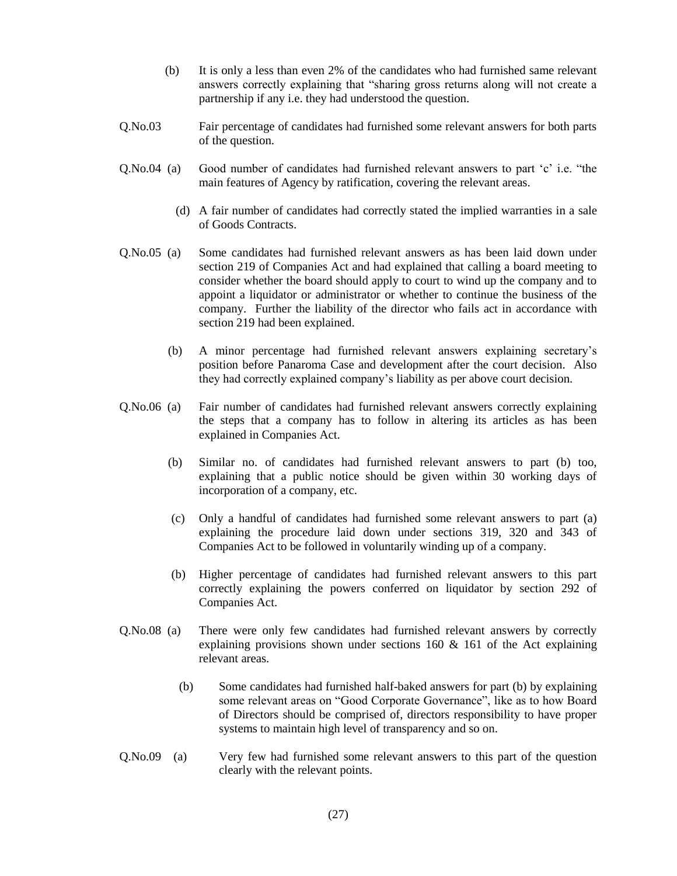- (b) It is only a less than even 2% of the candidates who had furnished same relevant answers correctly explaining that "sharing gross returns along will not create a partnership if any i.e. they had understood the question.
- Q.No.03 Fair percentage of candidates had furnished some relevant answers for both parts of the question.
- Q.No.04 (a) Good number of candidates had furnished relevant answers to part 'c' i.e. "the main features of Agency by ratification, covering the relevant areas.
	- (d) A fair number of candidates had correctly stated the implied warranties in a sale of Goods Contracts.
- Q.No.05 (a) Some candidates had furnished relevant answers as has been laid down under section 219 of Companies Act and had explained that calling a board meeting to consider whether the board should apply to court to wind up the company and to appoint a liquidator or administrator or whether to continue the business of the company. Further the liability of the director who fails act in accordance with section 219 had been explained.
	- (b) A minor percentage had furnished relevant answers explaining secretary's position before Panaroma Case and development after the court decision. Also they had correctly explained company's liability as per above court decision.
- Q.No.06 (a) Fair number of candidates had furnished relevant answers correctly explaining the steps that a company has to follow in altering its articles as has been explained in Companies Act.
	- (b) Similar no. of candidates had furnished relevant answers to part (b) too, explaining that a public notice should be given within 30 working days of incorporation of a company, etc.
	- (c) Only a handful of candidates had furnished some relevant answers to part (a) explaining the procedure laid down under sections 319, 320 and 343 of Companies Act to be followed in voluntarily winding up of a company.
	- (b) Higher percentage of candidates had furnished relevant answers to this part correctly explaining the powers conferred on liquidator by section 292 of Companies Act.
- Q.No.08 (a) There were only few candidates had furnished relevant answers by correctly explaining provisions shown under sections 160 & 161 of the Act explaining relevant areas.
	- (b) Some candidates had furnished half-baked answers for part (b) by explaining some relevant areas on "Good Corporate Governance", like as to how Board of Directors should be comprised of, directors responsibility to have proper systems to maintain high level of transparency and so on.
- Q.No.09 (a) Very few had furnished some relevant answers to this part of the question clearly with the relevant points.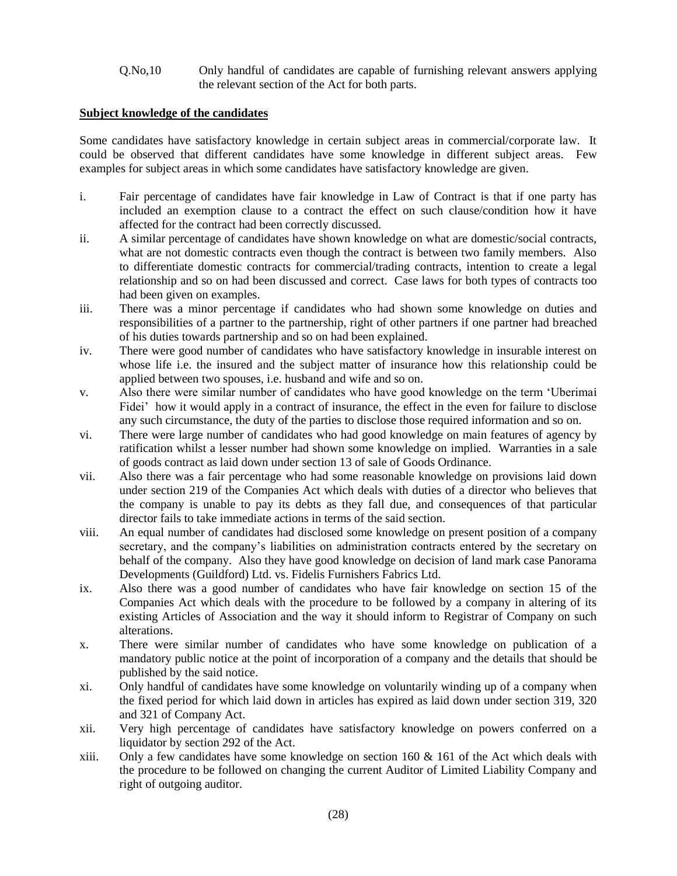Q.No,10 Only handful of candidates are capable of furnishing relevant answers applying the relevant section of the Act for both parts.

# **Subject knowledge of the candidates**

Some candidates have satisfactory knowledge in certain subject areas in commercial/corporate law. It could be observed that different candidates have some knowledge in different subject areas. Few examples for subject areas in which some candidates have satisfactory knowledge are given.

- i. Fair percentage of candidates have fair knowledge in Law of Contract is that if one party has included an exemption clause to a contract the effect on such clause/condition how it have affected for the contract had been correctly discussed.
- ii. A similar percentage of candidates have shown knowledge on what are domestic/social contracts, what are not domestic contracts even though the contract is between two family members. Also to differentiate domestic contracts for commercial/trading contracts, intention to create a legal relationship and so on had been discussed and correct. Case laws for both types of contracts too had been given on examples.
- iii. There was a minor percentage if candidates who had shown some knowledge on duties and responsibilities of a partner to the partnership, right of other partners if one partner had breached of his duties towards partnership and so on had been explained.
- iv. There were good number of candidates who have satisfactory knowledge in insurable interest on whose life i.e. the insured and the subject matter of insurance how this relationship could be applied between two spouses, i.e. husband and wife and so on.
- v. Also there were similar number of candidates who have good knowledge on the term 'Uberimai Fidei' how it would apply in a contract of insurance, the effect in the even for failure to disclose any such circumstance, the duty of the parties to disclose those required information and so on.
- vi. There were large number of candidates who had good knowledge on main features of agency by ratification whilst a lesser number had shown some knowledge on implied. Warranties in a sale of goods contract as laid down under section 13 of sale of Goods Ordinance.
- vii. Also there was a fair percentage who had some reasonable knowledge on provisions laid down under section 219 of the Companies Act which deals with duties of a director who believes that the company is unable to pay its debts as they fall due, and consequences of that particular director fails to take immediate actions in terms of the said section.
- viii. An equal number of candidates had disclosed some knowledge on present position of a company secretary, and the company's liabilities on administration contracts entered by the secretary on behalf of the company. Also they have good knowledge on decision of land mark case Panorama Developments (Guildford) Ltd. vs. Fidelis Furnishers Fabrics Ltd.
- ix. Also there was a good number of candidates who have fair knowledge on section 15 of the Companies Act which deals with the procedure to be followed by a company in altering of its existing Articles of Association and the way it should inform to Registrar of Company on such alterations.
- x. There were similar number of candidates who have some knowledge on publication of a mandatory public notice at the point of incorporation of a company and the details that should be published by the said notice.
- xi. Only handful of candidates have some knowledge on voluntarily winding up of a company when the fixed period for which laid down in articles has expired as laid down under section 319, 320 and 321 of Company Act.
- xii. Very high percentage of candidates have satisfactory knowledge on powers conferred on a liquidator by section 292 of the Act.
- xiii. Only a few candidates have some knowledge on section  $160 \& 161$  of the Act which deals with the procedure to be followed on changing the current Auditor of Limited Liability Company and right of outgoing auditor.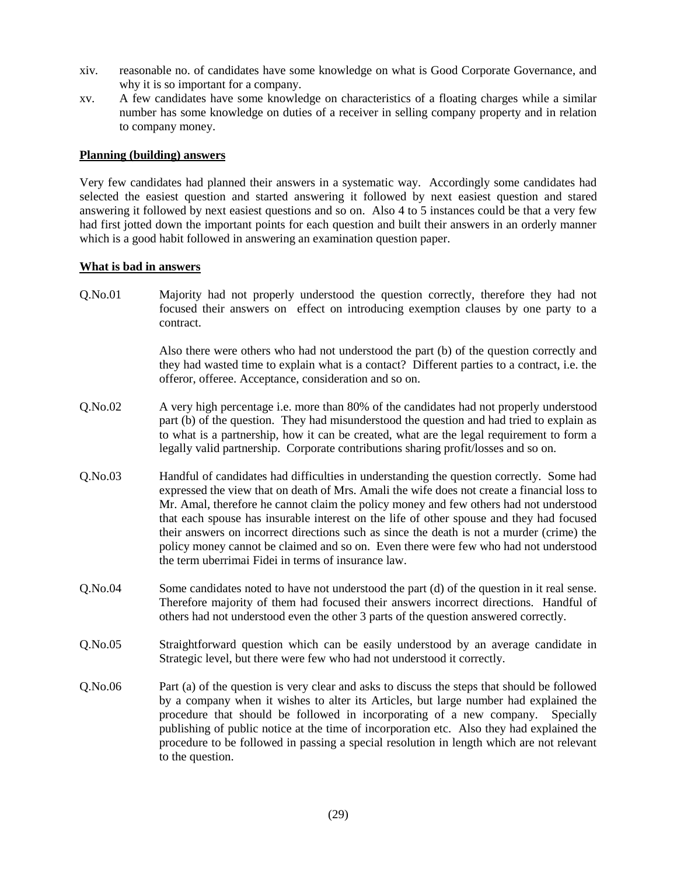- xiv. reasonable no. of candidates have some knowledge on what is Good Corporate Governance, and why it is so important for a company.
- xv. A few candidates have some knowledge on characteristics of a floating charges while a similar number has some knowledge on duties of a receiver in selling company property and in relation to company money.

## **Planning (building) answers**

Very few candidates had planned their answers in a systematic way. Accordingly some candidates had selected the easiest question and started answering it followed by next easiest question and stared answering it followed by next easiest questions and so on. Also 4 to 5 instances could be that a very few had first jotted down the important points for each question and built their answers in an orderly manner which is a good habit followed in answering an examination question paper.

## **What is bad in answers**

Q.No.01 Majority had not properly understood the question correctly, therefore they had not focused their answers on effect on introducing exemption clauses by one party to a contract.

> Also there were others who had not understood the part (b) of the question correctly and they had wasted time to explain what is a contact? Different parties to a contract, i.e. the offeror, offeree. Acceptance, consideration and so on.

- Q.No.02 A very high percentage i.e. more than 80% of the candidates had not properly understood part (b) of the question. They had misunderstood the question and had tried to explain as to what is a partnership, how it can be created, what are the legal requirement to form a legally valid partnership. Corporate contributions sharing profit/losses and so on.
- Q.No.03 Handful of candidates had difficulties in understanding the question correctly. Some had expressed the view that on death of Mrs. Amali the wife does not create a financial loss to Mr. Amal, therefore he cannot claim the policy money and few others had not understood that each spouse has insurable interest on the life of other spouse and they had focused their answers on incorrect directions such as since the death is not a murder (crime) the policy money cannot be claimed and so on. Even there were few who had not understood the term uberrimai Fidei in terms of insurance law.
- Q.No.04 Some candidates noted to have not understood the part (d) of the question in it real sense. Therefore majority of them had focused their answers incorrect directions. Handful of others had not understood even the other 3 parts of the question answered correctly.
- Q.No.05 Straightforward question which can be easily understood by an average candidate in Strategic level, but there were few who had not understood it correctly.
- Q.No.06 Part (a) of the question is very clear and asks to discuss the steps that should be followed by a company when it wishes to alter its Articles, but large number had explained the procedure that should be followed in incorporating of a new company. Specially publishing of public notice at the time of incorporation etc. Also they had explained the procedure to be followed in passing a special resolution in length which are not relevant to the question.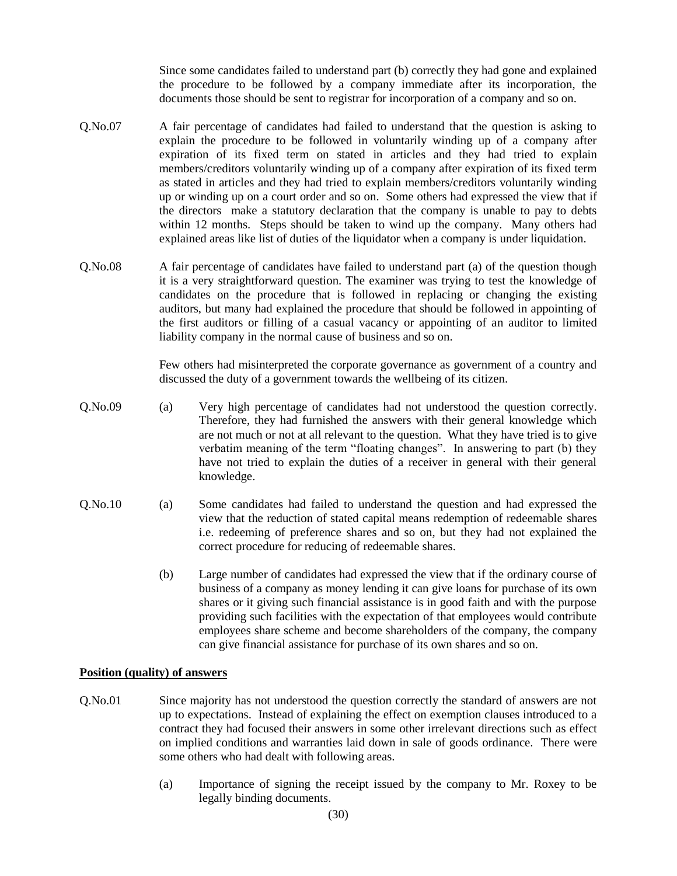Since some candidates failed to understand part (b) correctly they had gone and explained the procedure to be followed by a company immediate after its incorporation, the documents those should be sent to registrar for incorporation of a company and so on.

- Q.No.07 A fair percentage of candidates had failed to understand that the question is asking to explain the procedure to be followed in voluntarily winding up of a company after expiration of its fixed term on stated in articles and they had tried to explain members/creditors voluntarily winding up of a company after expiration of its fixed term as stated in articles and they had tried to explain members/creditors voluntarily winding up or winding up on a court order and so on. Some others had expressed the view that if the directors make a statutory declaration that the company is unable to pay to debts within 12 months. Steps should be taken to wind up the company. Many others had explained areas like list of duties of the liquidator when a company is under liquidation.
- Q.No.08 A fair percentage of candidates have failed to understand part (a) of the question though it is a very straightforward question. The examiner was trying to test the knowledge of candidates on the procedure that is followed in replacing or changing the existing auditors, but many had explained the procedure that should be followed in appointing of the first auditors or filling of a casual vacancy or appointing of an auditor to limited liability company in the normal cause of business and so on.

Few others had misinterpreted the corporate governance as government of a country and discussed the duty of a government towards the wellbeing of its citizen.

- Q.No.09 (a) Very high percentage of candidates had not understood the question correctly. Therefore, they had furnished the answers with their general knowledge which are not much or not at all relevant to the question. What they have tried is to give verbatim meaning of the term "floating changes". In answering to part (b) they have not tried to explain the duties of a receiver in general with their general knowledge.
- Q.No.10 (a) Some candidates had failed to understand the question and had expressed the view that the reduction of stated capital means redemption of redeemable shares i.e. redeeming of preference shares and so on, but they had not explained the correct procedure for reducing of redeemable shares.
	- (b) Large number of candidates had expressed the view that if the ordinary course of business of a company as money lending it can give loans for purchase of its own shares or it giving such financial assistance is in good faith and with the purpose providing such facilities with the expectation of that employees would contribute employees share scheme and become shareholders of the company, the company can give financial assistance for purchase of its own shares and so on.

#### **Position (quality) of answers**

- Q.No.01 Since majority has not understood the question correctly the standard of answers are not up to expectations. Instead of explaining the effect on exemption clauses introduced to a contract they had focused their answers in some other irrelevant directions such as effect on implied conditions and warranties laid down in sale of goods ordinance. There were some others who had dealt with following areas.
	- (a) Importance of signing the receipt issued by the company to Mr. Roxey to be legally binding documents.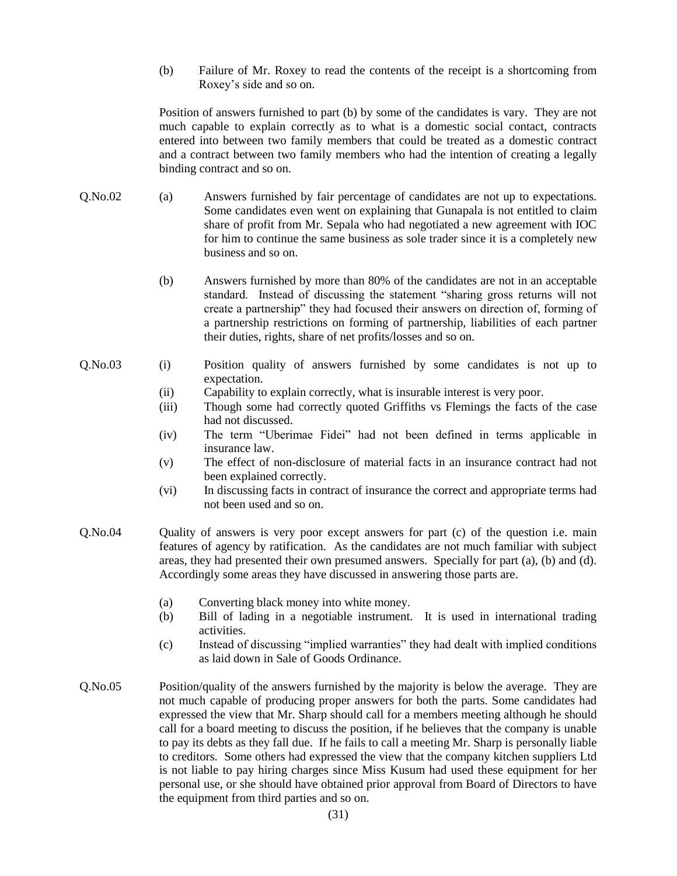(b) Failure of Mr. Roxey to read the contents of the receipt is a shortcoming from Roxey's side and so on.

Position of answers furnished to part (b) by some of the candidates is vary. They are not much capable to explain correctly as to what is a domestic social contact, contracts entered into between two family members that could be treated as a domestic contract and a contract between two family members who had the intention of creating a legally binding contract and so on.

- Q.No.02 (a) Answers furnished by fair percentage of candidates are not up to expectations. Some candidates even went on explaining that Gunapala is not entitled to claim share of profit from Mr. Sepala who had negotiated a new agreement with IOC for him to continue the same business as sole trader since it is a completely new business and so on.
	- (b) Answers furnished by more than 80% of the candidates are not in an acceptable standard. Instead of discussing the statement "sharing gross returns will not create a partnership" they had focused their answers on direction of, forming of a partnership restrictions on forming of partnership, liabilities of each partner their duties, rights, share of net profits/losses and so on.
- Q.No.03 (i) Position quality of answers furnished by some candidates is not up to expectation.
	- (ii) Capability to explain correctly, what is insurable interest is very poor.
	- (iii) Though some had correctly quoted Griffiths vs Flemings the facts of the case had not discussed.
	- (iv) The term "Uberimae Fidei" had not been defined in terms applicable in insurance law.
	- (v) The effect of non-disclosure of material facts in an insurance contract had not been explained correctly.
	- (vi) In discussing facts in contract of insurance the correct and appropriate terms had not been used and so on.
- Q.No.04 Quality of answers is very poor except answers for part (c) of the question i.e. main features of agency by ratification. As the candidates are not much familiar with subject areas, they had presented their own presumed answers. Specially for part (a), (b) and (d). Accordingly some areas they have discussed in answering those parts are.
	- (a) Converting black money into white money.
	- (b) Bill of lading in a negotiable instrument. It is used in international trading activities.
	- (c) Instead of discussing "implied warranties" they had dealt with implied conditions as laid down in Sale of Goods Ordinance.
- Q.No.05 Position/quality of the answers furnished by the majority is below the average. They are not much capable of producing proper answers for both the parts. Some candidates had expressed the view that Mr. Sharp should call for a members meeting although he should call for a board meeting to discuss the position, if he believes that the company is unable to pay its debts as they fall due. If he fails to call a meeting Mr. Sharp is personally liable to creditors. Some others had expressed the view that the company kitchen suppliers Ltd is not liable to pay hiring charges since Miss Kusum had used these equipment for her personal use, or she should have obtained prior approval from Board of Directors to have the equipment from third parties and so on.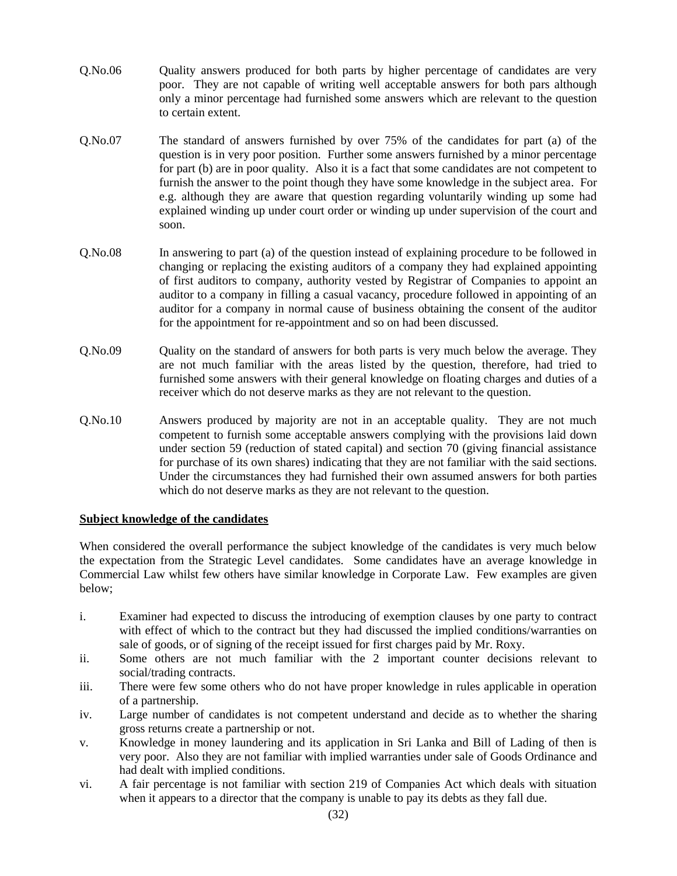- Q.No.06 Quality answers produced for both parts by higher percentage of candidates are very poor. They are not capable of writing well acceptable answers for both pars although only a minor percentage had furnished some answers which are relevant to the question to certain extent.
- Q.No.07 The standard of answers furnished by over 75% of the candidates for part (a) of the question is in very poor position. Further some answers furnished by a minor percentage for part (b) are in poor quality. Also it is a fact that some candidates are not competent to furnish the answer to the point though they have some knowledge in the subject area. For e.g. although they are aware that question regarding voluntarily winding up some had explained winding up under court order or winding up under supervision of the court and soon.
- Q.No.08 In answering to part (a) of the question instead of explaining procedure to be followed in changing or replacing the existing auditors of a company they had explained appointing of first auditors to company, authority vested by Registrar of Companies to appoint an auditor to a company in filling a casual vacancy, procedure followed in appointing of an auditor for a company in normal cause of business obtaining the consent of the auditor for the appointment for re-appointment and so on had been discussed.
- Q.No.09 Quality on the standard of answers for both parts is very much below the average. They are not much familiar with the areas listed by the question, therefore, had tried to furnished some answers with their general knowledge on floating charges and duties of a receiver which do not deserve marks as they are not relevant to the question.
- Q.No.10 Answers produced by majority are not in an acceptable quality. They are not much competent to furnish some acceptable answers complying with the provisions laid down under section 59 (reduction of stated capital) and section 70 (giving financial assistance for purchase of its own shares) indicating that they are not familiar with the said sections. Under the circumstances they had furnished their own assumed answers for both parties which do not deserve marks as they are not relevant to the question.

## **Subject knowledge of the candidates**

When considered the overall performance the subject knowledge of the candidates is very much below the expectation from the Strategic Level candidates. Some candidates have an average knowledge in Commercial Law whilst few others have similar knowledge in Corporate Law. Few examples are given below;

- i. Examiner had expected to discuss the introducing of exemption clauses by one party to contract with effect of which to the contract but they had discussed the implied conditions/warranties on sale of goods, or of signing of the receipt issued for first charges paid by Mr. Roxy.
- ii. Some others are not much familiar with the 2 important counter decisions relevant to social/trading contracts.
- iii. There were few some others who do not have proper knowledge in rules applicable in operation of a partnership.
- iv. Large number of candidates is not competent understand and decide as to whether the sharing gross returns create a partnership or not.
- v. Knowledge in money laundering and its application in Sri Lanka and Bill of Lading of then is very poor. Also they are not familiar with implied warranties under sale of Goods Ordinance and had dealt with implied conditions.
- vi. A fair percentage is not familiar with section 219 of Companies Act which deals with situation when it appears to a director that the company is unable to pay its debts as they fall due.